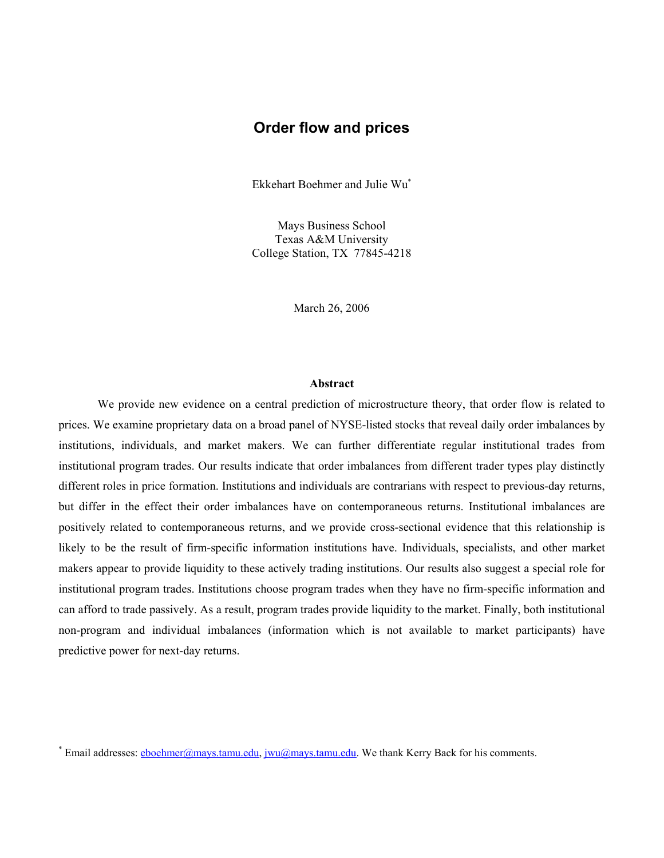# **Order flow and prices**

Ekkehart Boehmer and Julie Wu\*

Mays Business School Texas A&M University College Station, TX 77845-4218

March 26, 2006

#### **Abstract**

We provide new evidence on a central prediction of microstructure theory, that order flow is related to prices. We examine proprietary data on a broad panel of NYSE-listed stocks that reveal daily order imbalances by institutions, individuals, and market makers. We can further differentiate regular institutional trades from institutional program trades. Our results indicate that order imbalances from different trader types play distinctly different roles in price formation. Institutions and individuals are contrarians with respect to previous-day returns, but differ in the effect their order imbalances have on contemporaneous returns. Institutional imbalances are positively related to contemporaneous returns, and we provide cross-sectional evidence that this relationship is likely to be the result of firm-specific information institutions have. Individuals, specialists, and other market makers appear to provide liquidity to these actively trading institutions. Our results also suggest a special role for institutional program trades. Institutions choose program trades when they have no firm-specific information and can afford to trade passively. As a result, program trades provide liquidity to the market. Finally, both institutional non-program and individual imbalances (information which is not available to market participants) have predictive power for next-day returns.

<sup>\*</sup> Email addresses: **eboehmer@mays.tamu.edu, jwu@mays.tamu.edu**. We thank Kerry Back for his comments.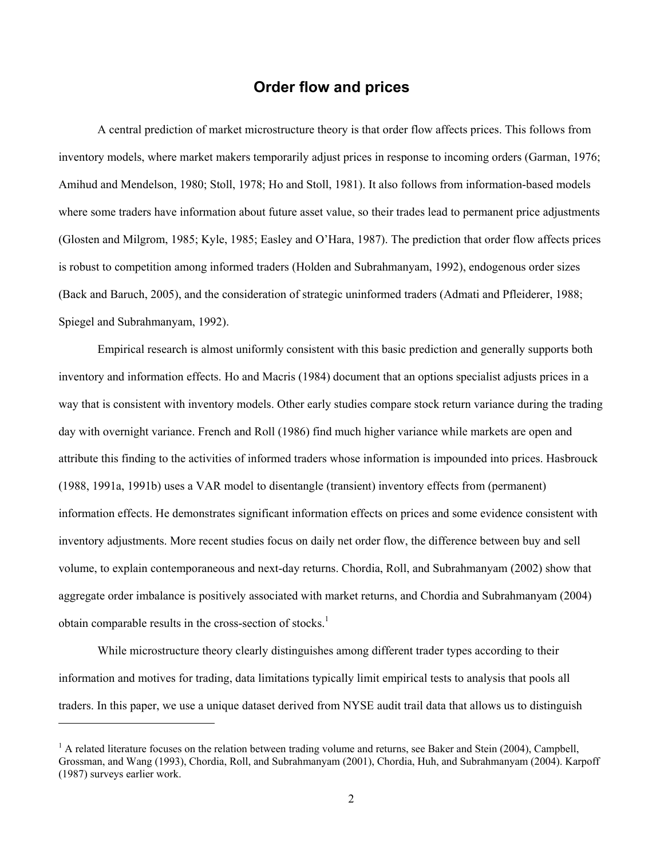# **Order flow and prices**

A central prediction of market microstructure theory is that order flow affects prices. This follows from inventory models, where market makers temporarily adjust prices in response to incoming orders (Garman, 1976; Amihud and Mendelson, 1980; Stoll, 1978; Ho and Stoll, 1981). It also follows from information-based models where some traders have information about future asset value, so their trades lead to permanent price adjustments (Glosten and Milgrom, 1985; Kyle, 1985; Easley and O'Hara, 1987). The prediction that order flow affects prices is robust to competition among informed traders (Holden and Subrahmanyam, 1992), endogenous order sizes (Back and Baruch, 2005), and the consideration of strategic uninformed traders (Admati and Pfleiderer, 1988; Spiegel and Subrahmanyam, 1992).

Empirical research is almost uniformly consistent with this basic prediction and generally supports both inventory and information effects. Ho and Macris (1984) document that an options specialist adjusts prices in a way that is consistent with inventory models. Other early studies compare stock return variance during the trading day with overnight variance. French and Roll (1986) find much higher variance while markets are open and attribute this finding to the activities of informed traders whose information is impounded into prices. Hasbrouck (1988, 1991a, 1991b) uses a VAR model to disentangle (transient) inventory effects from (permanent) information effects. He demonstrates significant information effects on prices and some evidence consistent with inventory adjustments. More recent studies focus on daily net order flow, the difference between buy and sell volume, to explain contemporaneous and next-day returns. Chordia, Roll, and Subrahmanyam (2002) show that aggregate order imbalance is positively associated with market returns, and Chordia and Subrahmanyam (2004) obtain comparable results in the cross-section of stocks. $<sup>1</sup>$ </sup>

While microstructure theory clearly distinguishes among different trader types according to their information and motives for trading, data limitations typically limit empirical tests to analysis that pools all traders. In this paper, we use a unique dataset derived from NYSE audit trail data that allows us to distinguish

 $\overline{a}$ 

 $<sup>1</sup>$  A related literature focuses on the relation between trading volume and returns, see Baker and Stein (2004), Campbell,</sup> Grossman, and Wang (1993), Chordia, Roll, and Subrahmanyam (2001), Chordia, Huh, and Subrahmanyam (2004). Karpoff (1987) surveys earlier work.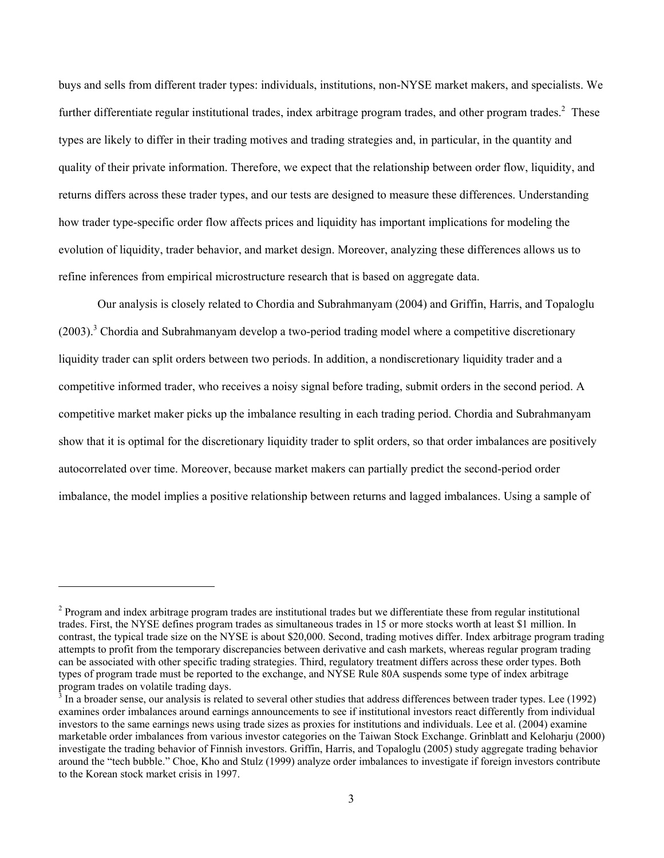buys and sells from different trader types: individuals, institutions, non-NYSE market makers, and specialists. We further differentiate regular institutional trades, index arbitrage program trades, and other program trades. $^{2}$  These types are likely to differ in their trading motives and trading strategies and, in particular, in the quantity and quality of their private information. Therefore, we expect that the relationship between order flow, liquidity, and returns differs across these trader types, and our tests are designed to measure these differences. Understanding how trader type-specific order flow affects prices and liquidity has important implications for modeling the evolution of liquidity, trader behavior, and market design. Moreover, analyzing these differences allows us to refine inferences from empirical microstructure research that is based on aggregate data.

Our analysis is closely related to Chordia and Subrahmanyam (2004) and Griffin, Harris, and Topaloglu (2003).<sup>3</sup> Chordia and Subrahmanyam develop a two-period trading model where a competitive discretionary liquidity trader can split orders between two periods. In addition, a nondiscretionary liquidity trader and a competitive informed trader, who receives a noisy signal before trading, submit orders in the second period. A competitive market maker picks up the imbalance resulting in each trading period. Chordia and Subrahmanyam show that it is optimal for the discretionary liquidity trader to split orders, so that order imbalances are positively autocorrelated over time. Moreover, because market makers can partially predict the second-period order imbalance, the model implies a positive relationship between returns and lagged imbalances. Using a sample of

l

 $2$  Program and index arbitrage program trades are institutional trades but we differentiate these from regular institutional trades. First, the NYSE defines program trades as simultaneous trades in 15 or more stocks worth at least \$1 million. In contrast, the typical trade size on the NYSE is about \$20,000. Second, trading motives differ. Index arbitrage program trading attempts to profit from the temporary discrepancies between derivative and cash markets, whereas regular program trading can be associated with other specific trading strategies. Third, regulatory treatment differs across these order types. Both types of program trade must be reported to the exchange, and NYSE Rule 80A suspends some type of index arbitrage program trades on volatile trading days.

<sup>3</sup> In a broader sense, our analysis is related to several other studies that address differences between trader types. Lee (1992) examines order imbalances around earnings announcements to see if institutional investors react differently from individual investors to the same earnings news using trade sizes as proxies for institutions and individuals. Lee et al. (2004) examine marketable order imbalances from various investor categories on the Taiwan Stock Exchange. Grinblatt and Keloharju (2000) investigate the trading behavior of Finnish investors. Griffin, Harris, and Topaloglu (2005) study aggregate trading behavior around the "tech bubble." Choe, Kho and Stulz (1999) analyze order imbalances to investigate if foreign investors contribute to the Korean stock market crisis in 1997.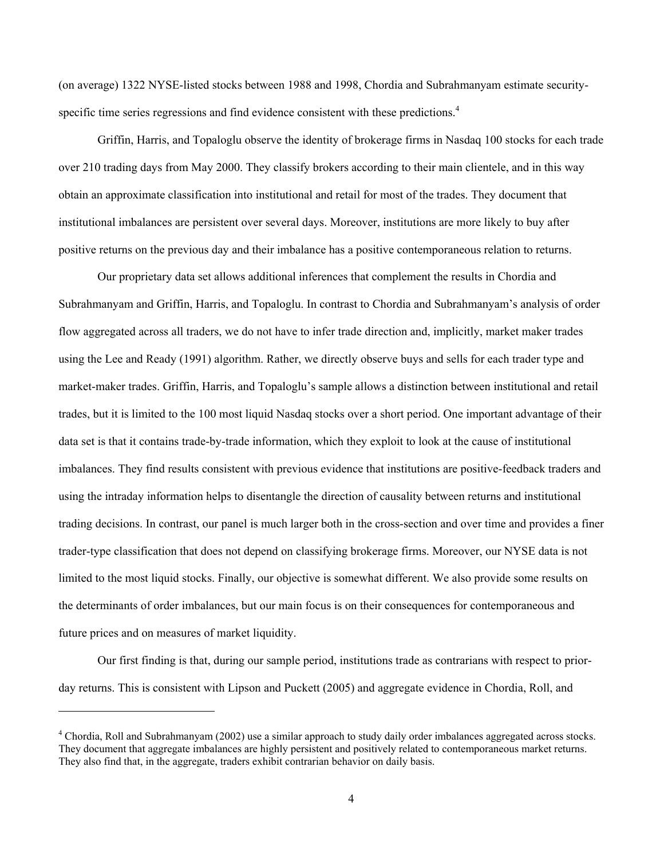(on average) 1322 NYSE-listed stocks between 1988 and 1998, Chordia and Subrahmanyam estimate securityspecific time series regressions and find evidence consistent with these predictions. $4$ 

Griffin, Harris, and Topaloglu observe the identity of brokerage firms in Nasdaq 100 stocks for each trade over 210 trading days from May 2000. They classify brokers according to their main clientele, and in this way obtain an approximate classification into institutional and retail for most of the trades. They document that institutional imbalances are persistent over several days. Moreover, institutions are more likely to buy after positive returns on the previous day and their imbalance has a positive contemporaneous relation to returns.

Our proprietary data set allows additional inferences that complement the results in Chordia and Subrahmanyam and Griffin, Harris, and Topaloglu. In contrast to Chordia and Subrahmanyam's analysis of order flow aggregated across all traders, we do not have to infer trade direction and, implicitly, market maker trades using the Lee and Ready (1991) algorithm. Rather, we directly observe buys and sells for each trader type and market-maker trades. Griffin, Harris, and Topaloglu's sample allows a distinction between institutional and retail trades, but it is limited to the 100 most liquid Nasdaq stocks over a short period. One important advantage of their data set is that it contains trade-by-trade information, which they exploit to look at the cause of institutional imbalances. They find results consistent with previous evidence that institutions are positive-feedback traders and using the intraday information helps to disentangle the direction of causality between returns and institutional trading decisions. In contrast, our panel is much larger both in the cross-section and over time and provides a finer trader-type classification that does not depend on classifying brokerage firms. Moreover, our NYSE data is not limited to the most liquid stocks. Finally, our objective is somewhat different. We also provide some results on the determinants of order imbalances, but our main focus is on their consequences for contemporaneous and future prices and on measures of market liquidity.

Our first finding is that, during our sample period, institutions trade as contrarians with respect to priorday returns. This is consistent with Lipson and Puckett (2005) and aggregate evidence in Chordia, Roll, and

<sup>&</sup>lt;sup>4</sup> Chordia, Roll and Subrahmanyam (2002) use a similar approach to study daily order imbalances aggregated across stocks. They document that aggregate imbalances are highly persistent and positively related to contemporaneous market returns. They also find that, in the aggregate, traders exhibit contrarian behavior on daily basis.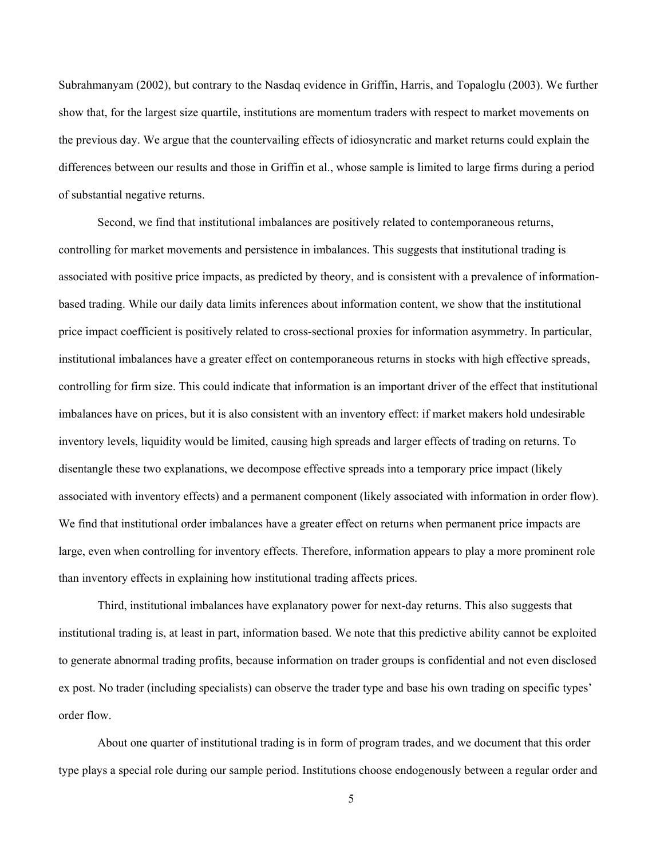Subrahmanyam (2002), but contrary to the Nasdaq evidence in Griffin, Harris, and Topaloglu (2003). We further show that, for the largest size quartile, institutions are momentum traders with respect to market movements on the previous day. We argue that the countervailing effects of idiosyncratic and market returns could explain the differences between our results and those in Griffin et al., whose sample is limited to large firms during a period of substantial negative returns.

Second, we find that institutional imbalances are positively related to contemporaneous returns, controlling for market movements and persistence in imbalances. This suggests that institutional trading is associated with positive price impacts, as predicted by theory, and is consistent with a prevalence of informationbased trading. While our daily data limits inferences about information content, we show that the institutional price impact coefficient is positively related to cross-sectional proxies for information asymmetry. In particular, institutional imbalances have a greater effect on contemporaneous returns in stocks with high effective spreads, controlling for firm size. This could indicate that information is an important driver of the effect that institutional imbalances have on prices, but it is also consistent with an inventory effect: if market makers hold undesirable inventory levels, liquidity would be limited, causing high spreads and larger effects of trading on returns. To disentangle these two explanations, we decompose effective spreads into a temporary price impact (likely associated with inventory effects) and a permanent component (likely associated with information in order flow). We find that institutional order imbalances have a greater effect on returns when permanent price impacts are large, even when controlling for inventory effects. Therefore, information appears to play a more prominent role than inventory effects in explaining how institutional trading affects prices.

Third, institutional imbalances have explanatory power for next-day returns. This also suggests that institutional trading is, at least in part, information based. We note that this predictive ability cannot be exploited to generate abnormal trading profits, because information on trader groups is confidential and not even disclosed ex post. No trader (including specialists) can observe the trader type and base his own trading on specific types' order flow.

About one quarter of institutional trading is in form of program trades, and we document that this order type plays a special role during our sample period. Institutions choose endogenously between a regular order and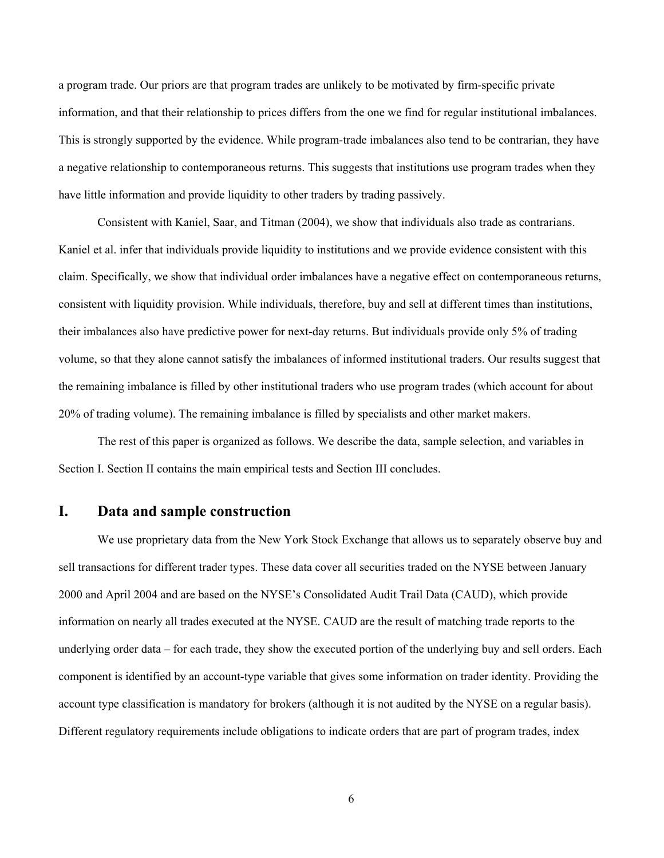a program trade. Our priors are that program trades are unlikely to be motivated by firm-specific private information, and that their relationship to prices differs from the one we find for regular institutional imbalances. This is strongly supported by the evidence. While program-trade imbalances also tend to be contrarian, they have a negative relationship to contemporaneous returns. This suggests that institutions use program trades when they have little information and provide liquidity to other traders by trading passively.

Consistent with Kaniel, Saar, and Titman (2004), we show that individuals also trade as contrarians. Kaniel et al. infer that individuals provide liquidity to institutions and we provide evidence consistent with this claim. Specifically, we show that individual order imbalances have a negative effect on contemporaneous returns, consistent with liquidity provision. While individuals, therefore, buy and sell at different times than institutions, their imbalances also have predictive power for next-day returns. But individuals provide only 5% of trading volume, so that they alone cannot satisfy the imbalances of informed institutional traders. Our results suggest that the remaining imbalance is filled by other institutional traders who use program trades (which account for about 20% of trading volume). The remaining imbalance is filled by specialists and other market makers.

The rest of this paper is organized as follows. We describe the data, sample selection, and variables in Section I. Section II contains the main empirical tests and Section III concludes.

# **I. Data and sample construction**

We use proprietary data from the New York Stock Exchange that allows us to separately observe buy and sell transactions for different trader types. These data cover all securities traded on the NYSE between January 2000 and April 2004 and are based on the NYSE's Consolidated Audit Trail Data (CAUD), which provide information on nearly all trades executed at the NYSE. CAUD are the result of matching trade reports to the underlying order data – for each trade, they show the executed portion of the underlying buy and sell orders. Each component is identified by an account-type variable that gives some information on trader identity. Providing the account type classification is mandatory for brokers (although it is not audited by the NYSE on a regular basis). Different regulatory requirements include obligations to indicate orders that are part of program trades, index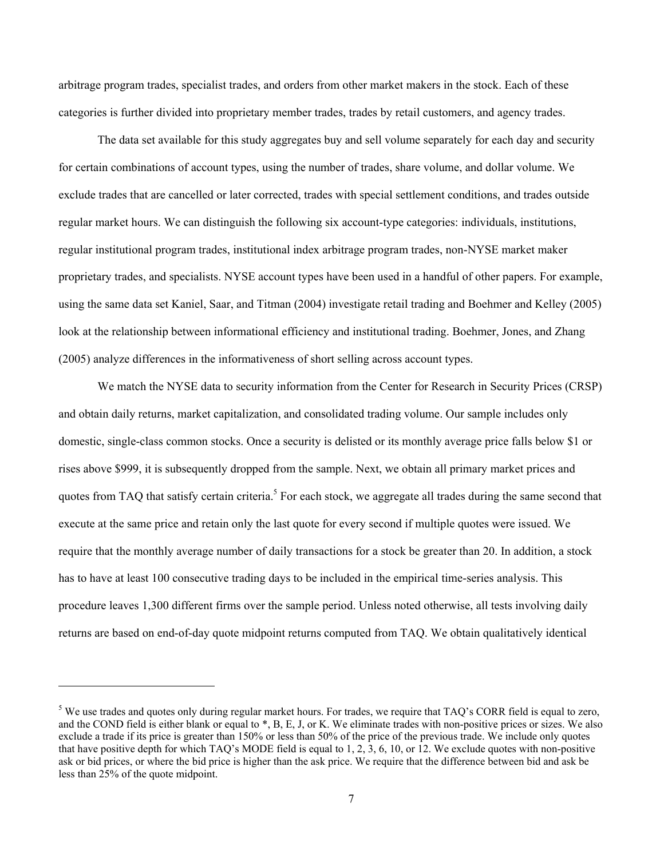arbitrage program trades, specialist trades, and orders from other market makers in the stock. Each of these categories is further divided into proprietary member trades, trades by retail customers, and agency trades.

The data set available for this study aggregates buy and sell volume separately for each day and security for certain combinations of account types, using the number of trades, share volume, and dollar volume. We exclude trades that are cancelled or later corrected, trades with special settlement conditions, and trades outside regular market hours. We can distinguish the following six account-type categories: individuals, institutions, regular institutional program trades, institutional index arbitrage program trades, non-NYSE market maker proprietary trades, and specialists. NYSE account types have been used in a handful of other papers. For example, using the same data set Kaniel, Saar, and Titman (2004) investigate retail trading and Boehmer and Kelley (2005) look at the relationship between informational efficiency and institutional trading. Boehmer, Jones, and Zhang (2005) analyze differences in the informativeness of short selling across account types.

We match the NYSE data to security information from the Center for Research in Security Prices (CRSP) and obtain daily returns, market capitalization, and consolidated trading volume. Our sample includes only domestic, single-class common stocks. Once a security is delisted or its monthly average price falls below \$1 or rises above \$999, it is subsequently dropped from the sample. Next, we obtain all primary market prices and quotes from TAQ that satisfy certain criteria.<sup>5</sup> For each stock, we aggregate all trades during the same second that execute at the same price and retain only the last quote for every second if multiple quotes were issued. We require that the monthly average number of daily transactions for a stock be greater than 20. In addition, a stock has to have at least 100 consecutive trading days to be included in the empirical time-series analysis. This procedure leaves 1,300 different firms over the sample period. Unless noted otherwise, all tests involving daily returns are based on end-of-day quote midpoint returns computed from TAQ. We obtain qualitatively identical

 $\overline{a}$ 

 $<sup>5</sup>$  We use trades and quotes only during regular market hours. For trades, we require that TAQ's CORR field is equal to zero,</sup> and the COND field is either blank or equal to \*, B, E, J, or K. We eliminate trades with non-positive prices or sizes. We also exclude a trade if its price is greater than 150% or less than 50% of the price of the previous trade. We include only quotes that have positive depth for which TAQ's MODE field is equal to 1, 2, 3, 6, 10, or 12. We exclude quotes with non-positive ask or bid prices, or where the bid price is higher than the ask price. We require that the difference between bid and ask be less than 25% of the quote midpoint.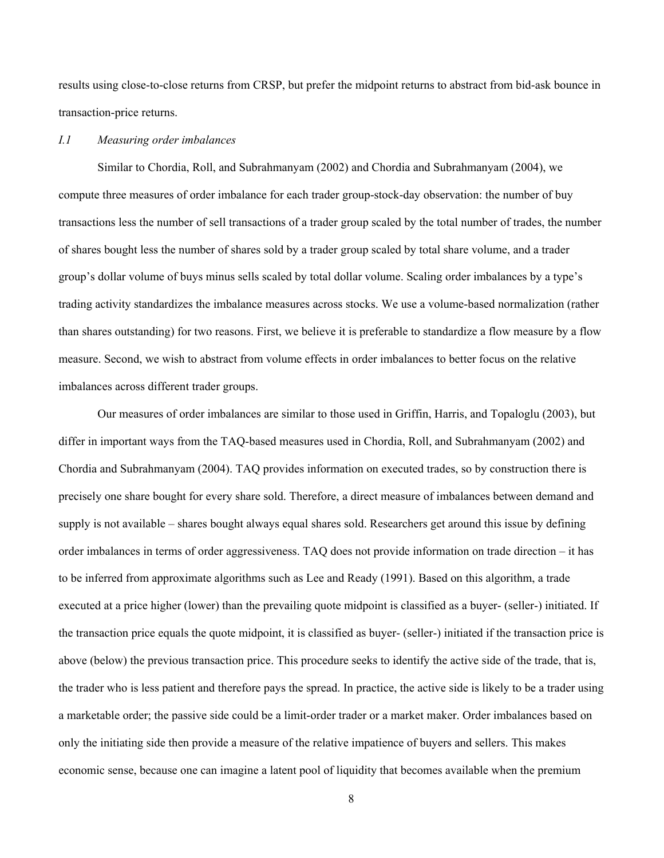results using close-to-close returns from CRSP, but prefer the midpoint returns to abstract from bid-ask bounce in transaction-price returns.

#### *I.1 Measuring order imbalances*

Similar to Chordia, Roll, and Subrahmanyam (2002) and Chordia and Subrahmanyam (2004), we compute three measures of order imbalance for each trader group-stock-day observation: the number of buy transactions less the number of sell transactions of a trader group scaled by the total number of trades, the number of shares bought less the number of shares sold by a trader group scaled by total share volume, and a trader group's dollar volume of buys minus sells scaled by total dollar volume. Scaling order imbalances by a type's trading activity standardizes the imbalance measures across stocks. We use a volume-based normalization (rather than shares outstanding) for two reasons. First, we believe it is preferable to standardize a flow measure by a flow measure. Second, we wish to abstract from volume effects in order imbalances to better focus on the relative imbalances across different trader groups.

Our measures of order imbalances are similar to those used in Griffin, Harris, and Topaloglu (2003), but differ in important ways from the TAQ-based measures used in Chordia, Roll, and Subrahmanyam (2002) and Chordia and Subrahmanyam (2004). TAQ provides information on executed trades, so by construction there is precisely one share bought for every share sold. Therefore, a direct measure of imbalances between demand and supply is not available – shares bought always equal shares sold. Researchers get around this issue by defining order imbalances in terms of order aggressiveness. TAQ does not provide information on trade direction – it has to be inferred from approximate algorithms such as Lee and Ready (1991). Based on this algorithm, a trade executed at a price higher (lower) than the prevailing quote midpoint is classified as a buyer- (seller-) initiated. If the transaction price equals the quote midpoint, it is classified as buyer- (seller-) initiated if the transaction price is above (below) the previous transaction price. This procedure seeks to identify the active side of the trade, that is, the trader who is less patient and therefore pays the spread. In practice, the active side is likely to be a trader using a marketable order; the passive side could be a limit-order trader or a market maker. Order imbalances based on only the initiating side then provide a measure of the relative impatience of buyers and sellers. This makes economic sense, because one can imagine a latent pool of liquidity that becomes available when the premium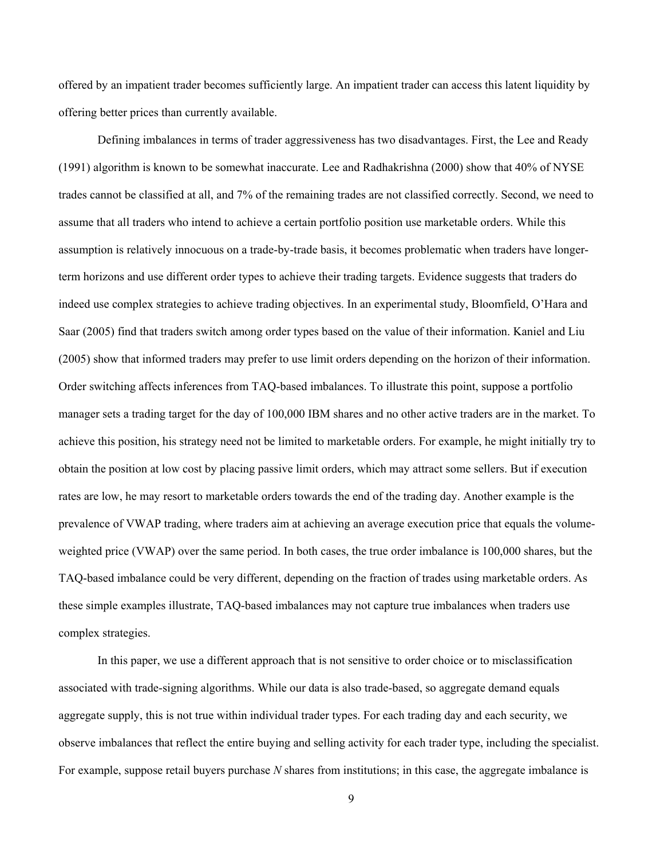offered by an impatient trader becomes sufficiently large. An impatient trader can access this latent liquidity by offering better prices than currently available.

Defining imbalances in terms of trader aggressiveness has two disadvantages. First, the Lee and Ready (1991) algorithm is known to be somewhat inaccurate. Lee and Radhakrishna (2000) show that 40% of NYSE trades cannot be classified at all, and 7% of the remaining trades are not classified correctly. Second, we need to assume that all traders who intend to achieve a certain portfolio position use marketable orders. While this assumption is relatively innocuous on a trade-by-trade basis, it becomes problematic when traders have longerterm horizons and use different order types to achieve their trading targets. Evidence suggests that traders do indeed use complex strategies to achieve trading objectives. In an experimental study, Bloomfield, O'Hara and Saar (2005) find that traders switch among order types based on the value of their information. Kaniel and Liu (2005) show that informed traders may prefer to use limit orders depending on the horizon of their information. Order switching affects inferences from TAQ-based imbalances. To illustrate this point, suppose a portfolio manager sets a trading target for the day of 100,000 IBM shares and no other active traders are in the market. To achieve this position, his strategy need not be limited to marketable orders. For example, he might initially try to obtain the position at low cost by placing passive limit orders, which may attract some sellers. But if execution rates are low, he may resort to marketable orders towards the end of the trading day. Another example is the prevalence of VWAP trading, where traders aim at achieving an average execution price that equals the volumeweighted price (VWAP) over the same period. In both cases, the true order imbalance is 100,000 shares, but the TAQ-based imbalance could be very different, depending on the fraction of trades using marketable orders. As these simple examples illustrate, TAQ-based imbalances may not capture true imbalances when traders use complex strategies.

In this paper, we use a different approach that is not sensitive to order choice or to misclassification associated with trade-signing algorithms. While our data is also trade-based, so aggregate demand equals aggregate supply, this is not true within individual trader types. For each trading day and each security, we observe imbalances that reflect the entire buying and selling activity for each trader type, including the specialist. For example, suppose retail buyers purchase *N* shares from institutions; in this case, the aggregate imbalance is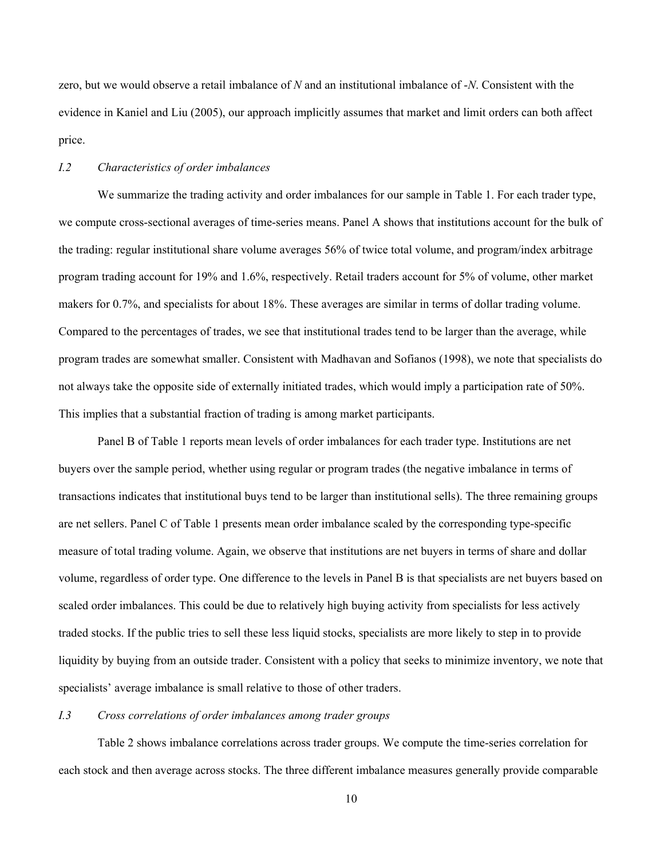zero, but we would observe a retail imbalance of *N* and an institutional imbalance of -*N*. Consistent with the evidence in Kaniel and Liu (2005), our approach implicitly assumes that market and limit orders can both affect price.

### *I.2 Characteristics of order imbalances*

We summarize the trading activity and order imbalances for our sample in Table 1. For each trader type, we compute cross-sectional averages of time-series means. Panel A shows that institutions account for the bulk of the trading: regular institutional share volume averages 56% of twice total volume, and program/index arbitrage program trading account for 19% and 1.6%, respectively. Retail traders account for 5% of volume, other market makers for 0.7%, and specialists for about 18%. These averages are similar in terms of dollar trading volume. Compared to the percentages of trades, we see that institutional trades tend to be larger than the average, while program trades are somewhat smaller. Consistent with Madhavan and Sofianos (1998), we note that specialists do not always take the opposite side of externally initiated trades, which would imply a participation rate of 50%. This implies that a substantial fraction of trading is among market participants.

Panel B of Table 1 reports mean levels of order imbalances for each trader type. Institutions are net buyers over the sample period, whether using regular or program trades (the negative imbalance in terms of transactions indicates that institutional buys tend to be larger than institutional sells). The three remaining groups are net sellers. Panel C of Table 1 presents mean order imbalance scaled by the corresponding type-specific measure of total trading volume. Again, we observe that institutions are net buyers in terms of share and dollar volume, regardless of order type. One difference to the levels in Panel B is that specialists are net buyers based on scaled order imbalances. This could be due to relatively high buying activity from specialists for less actively traded stocks. If the public tries to sell these less liquid stocks, specialists are more likely to step in to provide liquidity by buying from an outside trader. Consistent with a policy that seeks to minimize inventory, we note that specialists' average imbalance is small relative to those of other traders.

# *I.3 Cross correlations of order imbalances among trader groups*

Table 2 shows imbalance correlations across trader groups. We compute the time-series correlation for each stock and then average across stocks. The three different imbalance measures generally provide comparable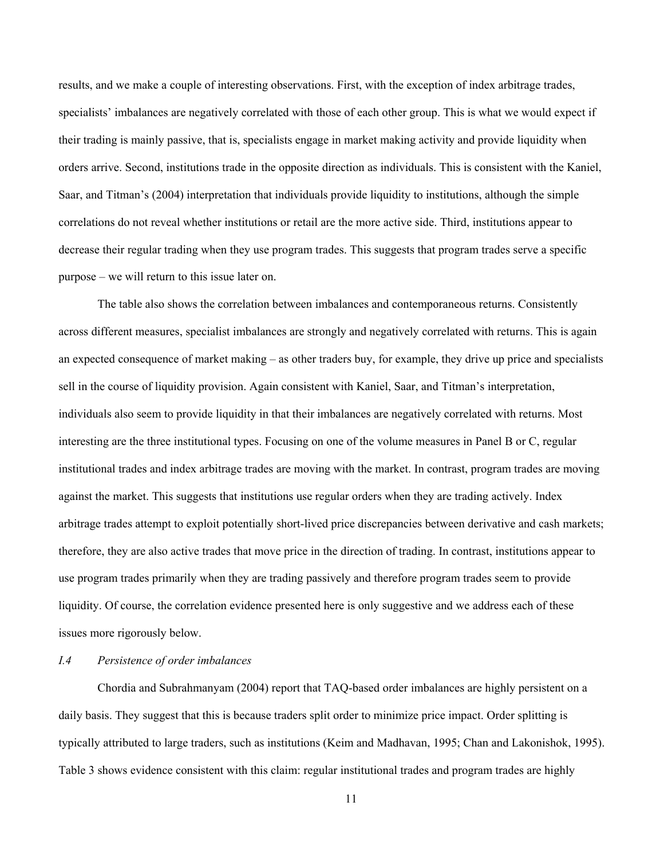results, and we make a couple of interesting observations. First, with the exception of index arbitrage trades, specialists' imbalances are negatively correlated with those of each other group. This is what we would expect if their trading is mainly passive, that is, specialists engage in market making activity and provide liquidity when orders arrive. Second, institutions trade in the opposite direction as individuals. This is consistent with the Kaniel, Saar, and Titman's (2004) interpretation that individuals provide liquidity to institutions, although the simple correlations do not reveal whether institutions or retail are the more active side. Third, institutions appear to decrease their regular trading when they use program trades. This suggests that program trades serve a specific purpose – we will return to this issue later on.

The table also shows the correlation between imbalances and contemporaneous returns. Consistently across different measures, specialist imbalances are strongly and negatively correlated with returns. This is again an expected consequence of market making – as other traders buy, for example, they drive up price and specialists sell in the course of liquidity provision. Again consistent with Kaniel, Saar, and Titman's interpretation, individuals also seem to provide liquidity in that their imbalances are negatively correlated with returns. Most interesting are the three institutional types. Focusing on one of the volume measures in Panel B or C, regular institutional trades and index arbitrage trades are moving with the market. In contrast, program trades are moving against the market. This suggests that institutions use regular orders when they are trading actively. Index arbitrage trades attempt to exploit potentially short-lived price discrepancies between derivative and cash markets; therefore, they are also active trades that move price in the direction of trading. In contrast, institutions appear to use program trades primarily when they are trading passively and therefore program trades seem to provide liquidity. Of course, the correlation evidence presented here is only suggestive and we address each of these issues more rigorously below.

### *I.4 Persistence of order imbalances*

Chordia and Subrahmanyam (2004) report that TAQ-based order imbalances are highly persistent on a daily basis. They suggest that this is because traders split order to minimize price impact. Order splitting is typically attributed to large traders, such as institutions (Keim and Madhavan, 1995; Chan and Lakonishok, 1995). Table 3 shows evidence consistent with this claim: regular institutional trades and program trades are highly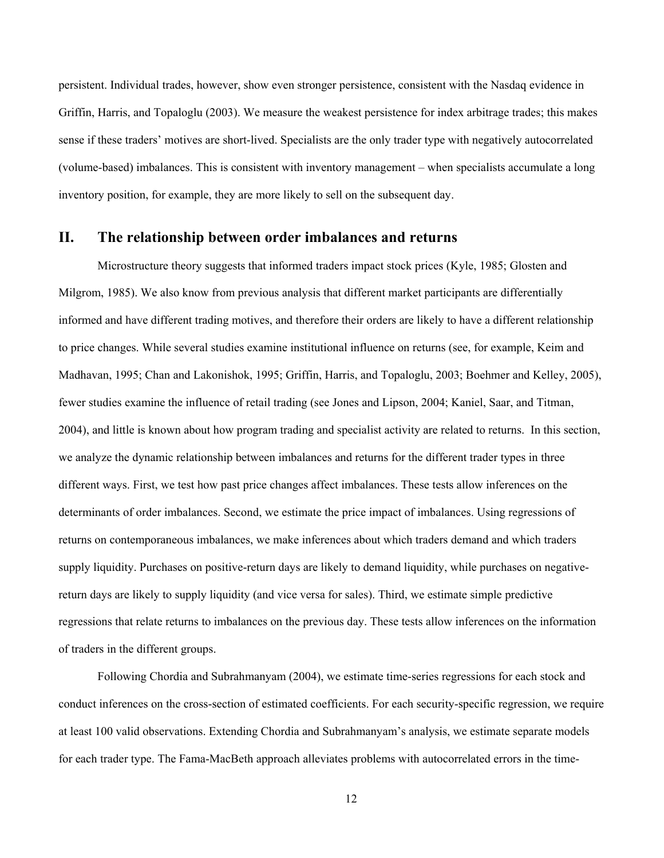persistent. Individual trades, however, show even stronger persistence, consistent with the Nasdaq evidence in Griffin, Harris, and Topaloglu (2003). We measure the weakest persistence for index arbitrage trades; this makes sense if these traders' motives are short-lived. Specialists are the only trader type with negatively autocorrelated (volume-based) imbalances. This is consistent with inventory management – when specialists accumulate a long inventory position, for example, they are more likely to sell on the subsequent day.

# **II. The relationship between order imbalances and returns**

Microstructure theory suggests that informed traders impact stock prices (Kyle, 1985; Glosten and Milgrom, 1985). We also know from previous analysis that different market participants are differentially informed and have different trading motives, and therefore their orders are likely to have a different relationship to price changes. While several studies examine institutional influence on returns (see, for example, Keim and Madhavan, 1995; Chan and Lakonishok, 1995; Griffin, Harris, and Topaloglu, 2003; Boehmer and Kelley, 2005), fewer studies examine the influence of retail trading (see Jones and Lipson, 2004; Kaniel, Saar, and Titman, 2004), and little is known about how program trading and specialist activity are related to returns. In this section, we analyze the dynamic relationship between imbalances and returns for the different trader types in three different ways. First, we test how past price changes affect imbalances. These tests allow inferences on the determinants of order imbalances. Second, we estimate the price impact of imbalances. Using regressions of returns on contemporaneous imbalances, we make inferences about which traders demand and which traders supply liquidity. Purchases on positive-return days are likely to demand liquidity, while purchases on negativereturn days are likely to supply liquidity (and vice versa for sales). Third, we estimate simple predictive regressions that relate returns to imbalances on the previous day. These tests allow inferences on the information of traders in the different groups.

Following Chordia and Subrahmanyam (2004), we estimate time-series regressions for each stock and conduct inferences on the cross-section of estimated coefficients. For each security-specific regression, we require at least 100 valid observations. Extending Chordia and Subrahmanyam's analysis, we estimate separate models for each trader type. The Fama-MacBeth approach alleviates problems with autocorrelated errors in the time-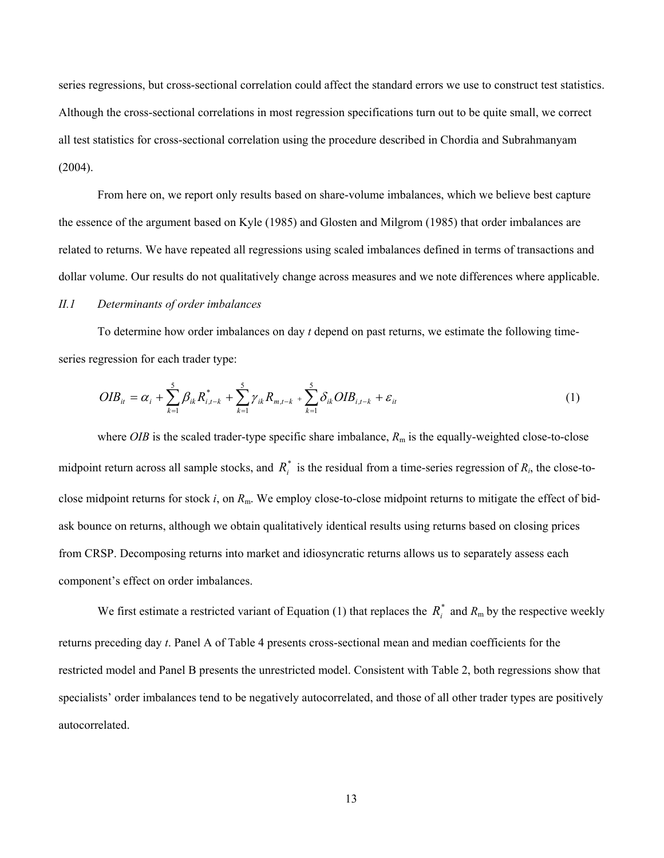series regressions, but cross-sectional correlation could affect the standard errors we use to construct test statistics. Although the cross-sectional correlations in most regression specifications turn out to be quite small, we correct all test statistics for cross-sectional correlation using the procedure described in Chordia and Subrahmanyam  $(2004).$ 

From here on, we report only results based on share-volume imbalances, which we believe best capture the essence of the argument based on Kyle (1985) and Glosten and Milgrom (1985) that order imbalances are related to returns. We have repeated all regressions using scaled imbalances defined in terms of transactions and dollar volume. Our results do not qualitatively change across measures and we note differences where applicable.

# *II.1 Determinants of order imbalances*

To determine how order imbalances on day *t* depend on past returns, we estimate the following timeseries regression for each trader type:

$$
OIB_{it} = \alpha_i + \sum_{k=1}^{5} \beta_{ik} R_{i,t-k}^* + \sum_{k=1}^{5} \gamma_{ik} R_{m,t-k} + \sum_{k=1}^{5} \delta_{ik} OIB_{i,t-k} + \varepsilon_{it}
$$
(1)

where *OIB* is the scaled trader-type specific share imbalance,  $R<sub>m</sub>$  is the equally-weighted close-to-close midpoint return across all sample stocks, and  $R_i^*$  is the residual from a time-series regression of  $R_i$ , the close-toclose midpoint returns for stock *i*, on *R*m. We employ close-to-close midpoint returns to mitigate the effect of bidask bounce on returns, although we obtain qualitatively identical results using returns based on closing prices from CRSP. Decomposing returns into market and idiosyncratic returns allows us to separately assess each component's effect on order imbalances.

We first estimate a restricted variant of Equation (1) that replaces the  $R_i^*$  and  $R_m$  by the respective weekly returns preceding day *t*. Panel A of Table 4 presents cross-sectional mean and median coefficients for the restricted model and Panel B presents the unrestricted model. Consistent with Table 2, both regressions show that specialists' order imbalances tend to be negatively autocorrelated, and those of all other trader types are positively autocorrelated.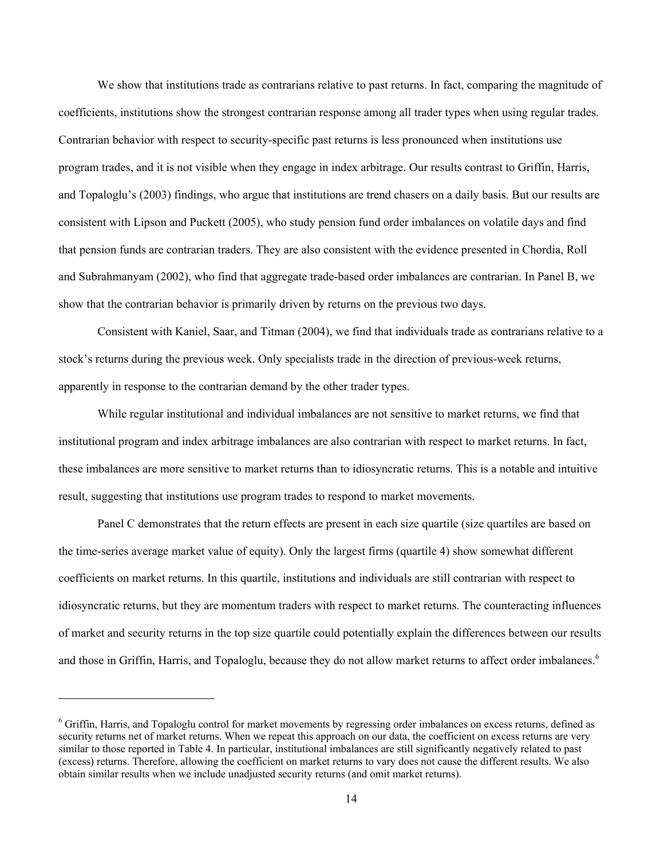We show that institutions trade as contrarians relative to past returns. In fact, comparing the magnitude of coefficients, institutions show the strongest contrarian response among all trader types when using regular trades. Contrarian behavior with respect to security-specific past returns is less pronounced when institutions use program trades, and it is not visible when they engage in index arbitrage. Our results contrast to Griffin, Harris, and Topaloglu's (2003) findings, who argue that institutions are trend chasers on a daily basis. But our results are consistent with Lipson and Puckett (2005), who study pension fund order imbalances on volatile days and find that pension funds are contrarian traders. They are also consistent with the evidence presented in Chordia, Roll and Subrahmanyam (2002), who find that aggregate trade-based order imbalances are contrarian. In Panel B, we show that the contrarian behavior is primarily driven by returns on the previous two days.

Consistent with Kaniel, Saar, and Titman (2004), we find that individuals trade as contrarians relative to a stock's returns during the previous week. Only specialists trade in the direction of previous-week returns, apparently in response to the contrarian demand by the other trader types.

While regular institutional and individual imbalances are not sensitive to market returns, we find that institutional program and index arbitrage imbalances are also contrarian with respect to market returns. In fact, these imbalances are more sensitive to market returns than to idiosyncratic returns. This is a notable and intuitive result, suggesting that institutions use program trades to respond to market movements.

Panel C demonstrates that the return effects are present in each size quartile (size quartiles are based on the time-series average market value of equity). Only the largest firms (quartile 4) show somewhat different coefficients on market returns. In this quartile, institutions and individuals are still contrarian with respect to idiosyncratic returns, but they are momentum traders with respect to market returns. The counteracting influences of market and security returns in the top size quartile could potentially explain the differences between our results and those in Griffin, Harris, and Topaloglu, because they do not allow market returns to affect order imbalances.<sup>6</sup>

<sup>&</sup>lt;sup>6</sup> Griffin, Harris, and Topaloglu control for market movements by regressing order imbalances on excess returns, defined as security returns net of market returns. When we repeat this approach on our data, the coefficient on excess returns are very similar to those reported in Table 4. In particular, institutional imbalances are still significantly negatively related to past (excess) returns. Therefore, allowing the coefficient on market returns to vary does not cause the different results. We also obtain similar results when we include unadjusted security returns (and omit market returns).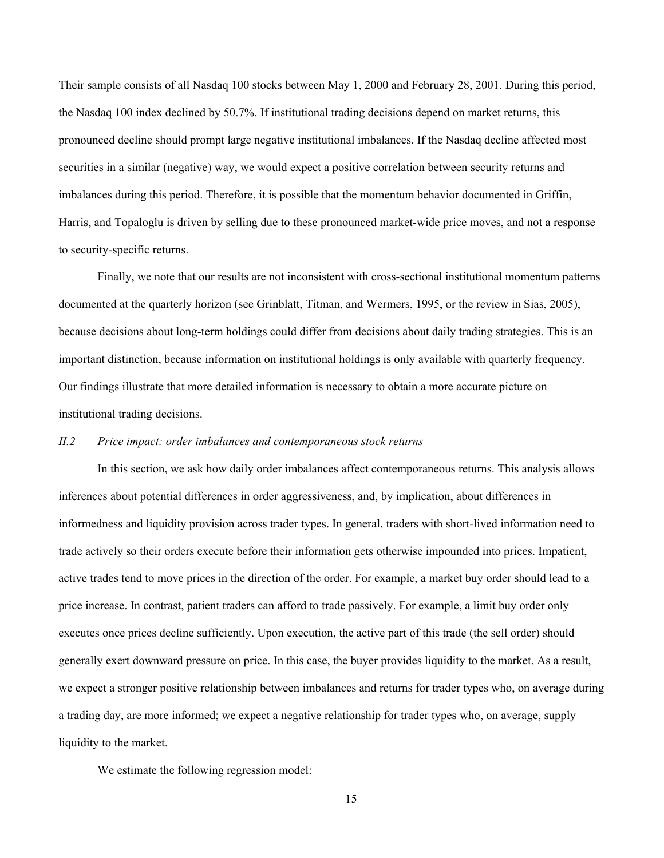Their sample consists of all Nasdaq 100 stocks between May 1, 2000 and February 28, 2001. During this period, the Nasdaq 100 index declined by 50.7%. If institutional trading decisions depend on market returns, this pronounced decline should prompt large negative institutional imbalances. If the Nasdaq decline affected most securities in a similar (negative) way, we would expect a positive correlation between security returns and imbalances during this period. Therefore, it is possible that the momentum behavior documented in Griffin, Harris, and Topaloglu is driven by selling due to these pronounced market-wide price moves, and not a response to security-specific returns.

Finally, we note that our results are not inconsistent with cross-sectional institutional momentum patterns documented at the quarterly horizon (see Grinblatt, Titman, and Wermers, 1995, or the review in Sias, 2005), because decisions about long-term holdings could differ from decisions about daily trading strategies. This is an important distinction, because information on institutional holdings is only available with quarterly frequency. Our findings illustrate that more detailed information is necessary to obtain a more accurate picture on institutional trading decisions.

### *II.2 Price impact: order imbalances and contemporaneous stock returns*

In this section, we ask how daily order imbalances affect contemporaneous returns. This analysis allows inferences about potential differences in order aggressiveness, and, by implication, about differences in informedness and liquidity provision across trader types. In general, traders with short-lived information need to trade actively so their orders execute before their information gets otherwise impounded into prices. Impatient, active trades tend to move prices in the direction of the order. For example, a market buy order should lead to a price increase. In contrast, patient traders can afford to trade passively. For example, a limit buy order only executes once prices decline sufficiently. Upon execution, the active part of this trade (the sell order) should generally exert downward pressure on price. In this case, the buyer provides liquidity to the market. As a result, we expect a stronger positive relationship between imbalances and returns for trader types who, on average during a trading day, are more informed; we expect a negative relationship for trader types who, on average, supply liquidity to the market.

We estimate the following regression model: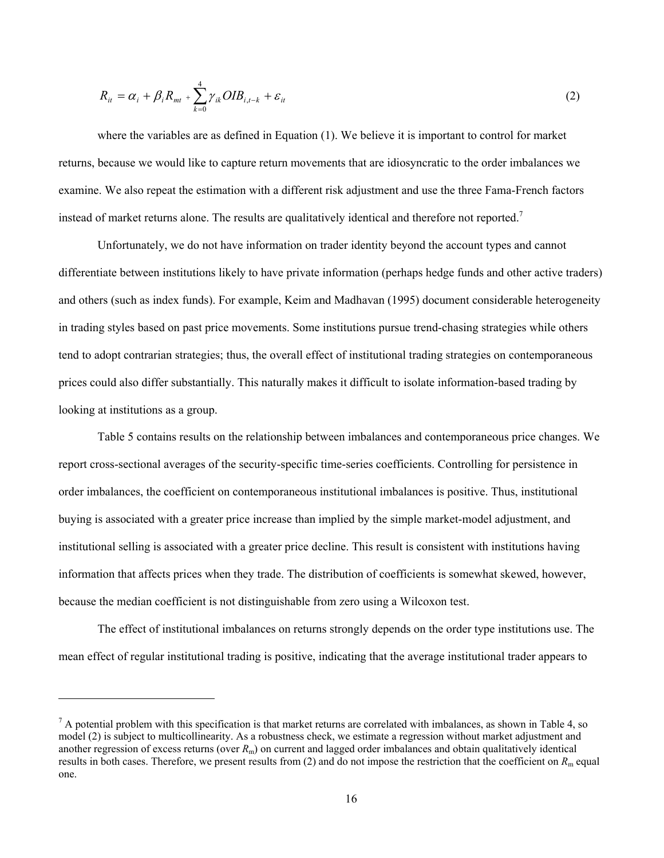$$
R_{it} = \alpha_i + \beta_i R_{mt} + \sum_{k=0}^{4} \gamma_{ik} OIB_{i,t-k} + \varepsilon_{it}
$$
\n(2)

where the variables are as defined in Equation (1). We believe it is important to control for market returns, because we would like to capture return movements that are idiosyncratic to the order imbalances we examine. We also repeat the estimation with a different risk adjustment and use the three Fama-French factors instead of market returns alone. The results are qualitatively identical and therefore not reported.<sup>7</sup>

Unfortunately, we do not have information on trader identity beyond the account types and cannot differentiate between institutions likely to have private information (perhaps hedge funds and other active traders) and others (such as index funds). For example, Keim and Madhavan (1995) document considerable heterogeneity in trading styles based on past price movements. Some institutions pursue trend-chasing strategies while others tend to adopt contrarian strategies; thus, the overall effect of institutional trading strategies on contemporaneous prices could also differ substantially. This naturally makes it difficult to isolate information-based trading by looking at institutions as a group.

Table 5 contains results on the relationship between imbalances and contemporaneous price changes. We report cross-sectional averages of the security-specific time-series coefficients. Controlling for persistence in order imbalances, the coefficient on contemporaneous institutional imbalances is positive. Thus, institutional buying is associated with a greater price increase than implied by the simple market-model adjustment, and institutional selling is associated with a greater price decline. This result is consistent with institutions having information that affects prices when they trade. The distribution of coefficients is somewhat skewed, however, because the median coefficient is not distinguishable from zero using a Wilcoxon test.

The effect of institutional imbalances on returns strongly depends on the order type institutions use. The mean effect of regular institutional trading is positive, indicating that the average institutional trader appears to

 $<sup>7</sup>$  A potential problem with this specification is that market returns are correlated with imbalances, as shown in Table 4, so</sup> model (2) is subject to multicollinearity. As a robustness check, we estimate a regression without market adjustment and another regression of excess returns (over *R*m) on current and lagged order imbalances and obtain qualitatively identical results in both cases. Therefore, we present results from  $(2)$  and do not impose the restriction that the coefficient on  $R<sub>m</sub>$  equal one.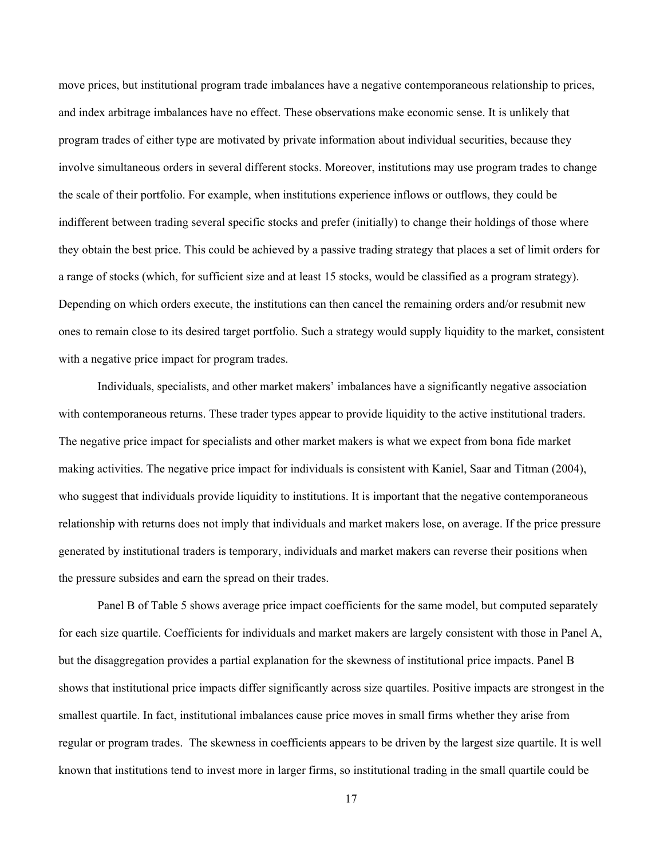move prices, but institutional program trade imbalances have a negative contemporaneous relationship to prices, and index arbitrage imbalances have no effect. These observations make economic sense. It is unlikely that program trades of either type are motivated by private information about individual securities, because they involve simultaneous orders in several different stocks. Moreover, institutions may use program trades to change the scale of their portfolio. For example, when institutions experience inflows or outflows, they could be indifferent between trading several specific stocks and prefer (initially) to change their holdings of those where they obtain the best price. This could be achieved by a passive trading strategy that places a set of limit orders for a range of stocks (which, for sufficient size and at least 15 stocks, would be classified as a program strategy). Depending on which orders execute, the institutions can then cancel the remaining orders and/or resubmit new ones to remain close to its desired target portfolio. Such a strategy would supply liquidity to the market, consistent with a negative price impact for program trades.

Individuals, specialists, and other market makers' imbalances have a significantly negative association with contemporaneous returns. These trader types appear to provide liquidity to the active institutional traders. The negative price impact for specialists and other market makers is what we expect from bona fide market making activities. The negative price impact for individuals is consistent with Kaniel, Saar and Titman (2004), who suggest that individuals provide liquidity to institutions. It is important that the negative contemporaneous relationship with returns does not imply that individuals and market makers lose, on average. If the price pressure generated by institutional traders is temporary, individuals and market makers can reverse their positions when the pressure subsides and earn the spread on their trades.

Panel B of Table 5 shows average price impact coefficients for the same model, but computed separately for each size quartile. Coefficients for individuals and market makers are largely consistent with those in Panel A, but the disaggregation provides a partial explanation for the skewness of institutional price impacts. Panel B shows that institutional price impacts differ significantly across size quartiles. Positive impacts are strongest in the smallest quartile. In fact, institutional imbalances cause price moves in small firms whether they arise from regular or program trades. The skewness in coefficients appears to be driven by the largest size quartile. It is well known that institutions tend to invest more in larger firms, so institutional trading in the small quartile could be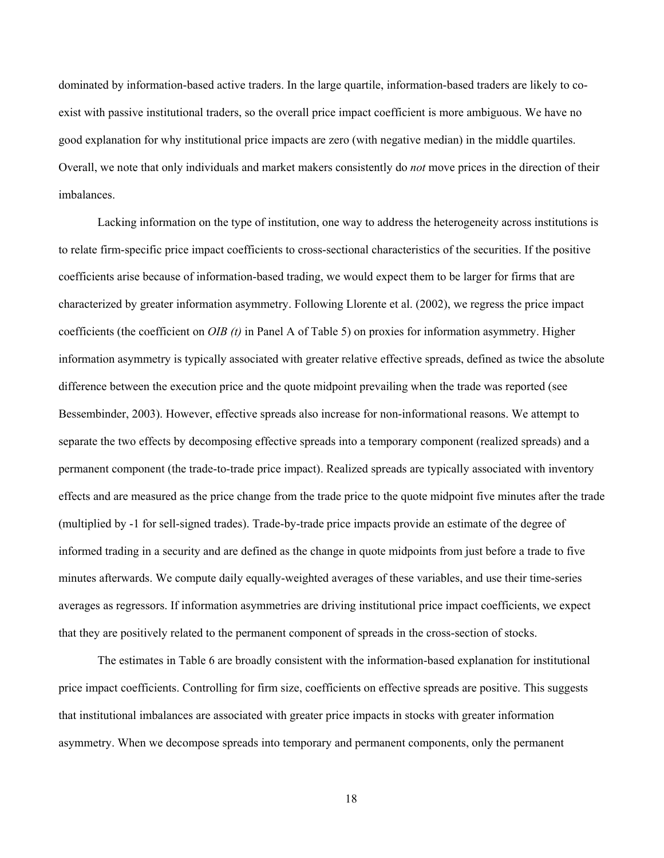dominated by information-based active traders. In the large quartile, information-based traders are likely to coexist with passive institutional traders, so the overall price impact coefficient is more ambiguous. We have no good explanation for why institutional price impacts are zero (with negative median) in the middle quartiles. Overall, we note that only individuals and market makers consistently do *not* move prices in the direction of their imbalances.

Lacking information on the type of institution, one way to address the heterogeneity across institutions is to relate firm-specific price impact coefficients to cross-sectional characteristics of the securities. If the positive coefficients arise because of information-based trading, we would expect them to be larger for firms that are characterized by greater information asymmetry. Following Llorente et al. (2002), we regress the price impact coefficients (the coefficient on *OIB (t)* in Panel A of Table 5) on proxies for information asymmetry. Higher information asymmetry is typically associated with greater relative effective spreads, defined as twice the absolute difference between the execution price and the quote midpoint prevailing when the trade was reported (see Bessembinder, 2003). However, effective spreads also increase for non-informational reasons. We attempt to separate the two effects by decomposing effective spreads into a temporary component (realized spreads) and a permanent component (the trade-to-trade price impact). Realized spreads are typically associated with inventory effects and are measured as the price change from the trade price to the quote midpoint five minutes after the trade (multiplied by -1 for sell-signed trades). Trade-by-trade price impacts provide an estimate of the degree of informed trading in a security and are defined as the change in quote midpoints from just before a trade to five minutes afterwards. We compute daily equally-weighted averages of these variables, and use their time-series averages as regressors. If information asymmetries are driving institutional price impact coefficients, we expect that they are positively related to the permanent component of spreads in the cross-section of stocks.

The estimates in Table 6 are broadly consistent with the information-based explanation for institutional price impact coefficients. Controlling for firm size, coefficients on effective spreads are positive. This suggests that institutional imbalances are associated with greater price impacts in stocks with greater information asymmetry. When we decompose spreads into temporary and permanent components, only the permanent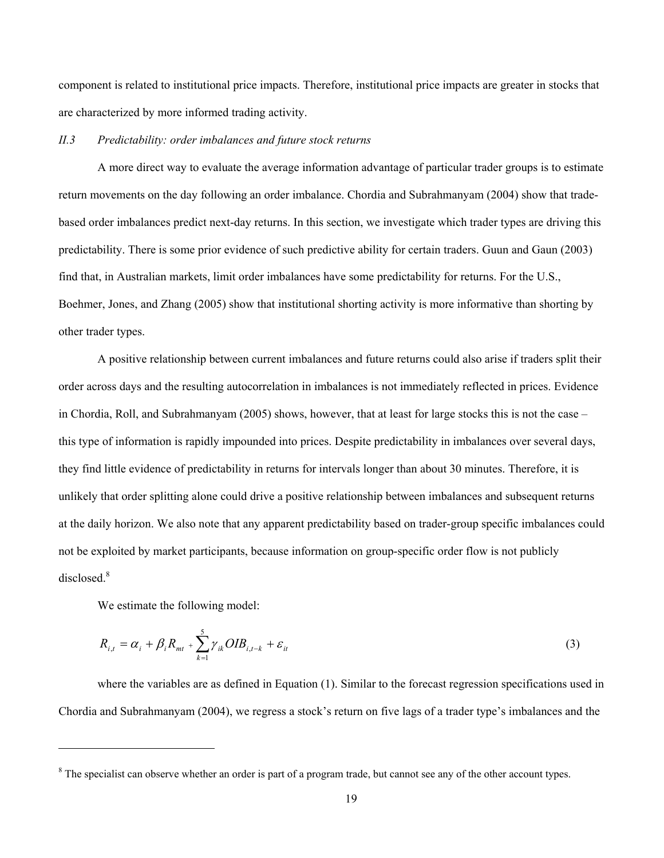component is related to institutional price impacts. Therefore, institutional price impacts are greater in stocks that are characterized by more informed trading activity.

### *II.3 Predictability: order imbalances and future stock returns*

A more direct way to evaluate the average information advantage of particular trader groups is to estimate return movements on the day following an order imbalance. Chordia and Subrahmanyam (2004) show that tradebased order imbalances predict next-day returns. In this section, we investigate which trader types are driving this predictability. There is some prior evidence of such predictive ability for certain traders. Guun and Gaun (2003) find that, in Australian markets, limit order imbalances have some predictability for returns. For the U.S., Boehmer, Jones, and Zhang (2005) show that institutional shorting activity is more informative than shorting by other trader types.

A positive relationship between current imbalances and future returns could also arise if traders split their order across days and the resulting autocorrelation in imbalances is not immediately reflected in prices. Evidence in Chordia, Roll, and Subrahmanyam (2005) shows, however, that at least for large stocks this is not the case – this type of information is rapidly impounded into prices. Despite predictability in imbalances over several days, they find little evidence of predictability in returns for intervals longer than about 30 minutes. Therefore, it is unlikely that order splitting alone could drive a positive relationship between imbalances and subsequent returns at the daily horizon. We also note that any apparent predictability based on trader-group specific imbalances could not be exploited by market participants, because information on group-specific order flow is not publicly disclosed.<sup>8</sup>

We estimate the following model:

l

$$
R_{i,t} = \alpha_i + \beta_i R_{mt} + \sum_{k=1}^{5} \gamma_{ik} OIB_{i,t-k} + \varepsilon_{it}
$$
\n(3)

where the variables are as defined in Equation (1). Similar to the forecast regression specifications used in Chordia and Subrahmanyam (2004), we regress a stock's return on five lags of a trader type's imbalances and the

 $8$  The specialist can observe whether an order is part of a program trade, but cannot see any of the other account types.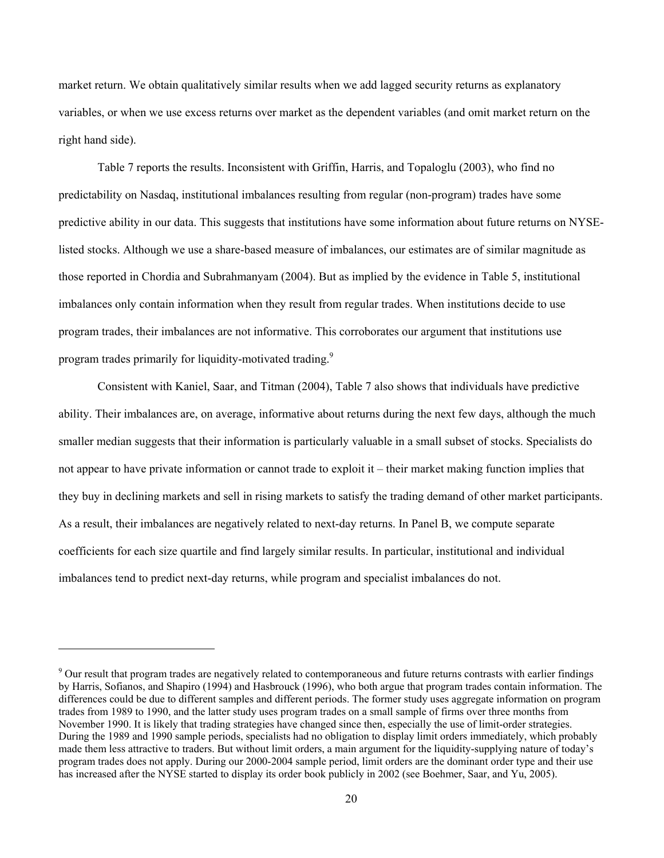market return. We obtain qualitatively similar results when we add lagged security returns as explanatory variables, or when we use excess returns over market as the dependent variables (and omit market return on the right hand side).

Table 7 reports the results. Inconsistent with Griffin, Harris, and Topaloglu (2003), who find no predictability on Nasdaq, institutional imbalances resulting from regular (non-program) trades have some predictive ability in our data. This suggests that institutions have some information about future returns on NYSElisted stocks. Although we use a share-based measure of imbalances, our estimates are of similar magnitude as those reported in Chordia and Subrahmanyam (2004). But as implied by the evidence in Table 5, institutional imbalances only contain information when they result from regular trades. When institutions decide to use program trades, their imbalances are not informative. This corroborates our argument that institutions use program trades primarily for liquidity-motivated trading.<sup>9</sup>

Consistent with Kaniel, Saar, and Titman (2004), Table 7 also shows that individuals have predictive ability. Their imbalances are, on average, informative about returns during the next few days, although the much smaller median suggests that their information is particularly valuable in a small subset of stocks. Specialists do not appear to have private information or cannot trade to exploit it – their market making function implies that they buy in declining markets and sell in rising markets to satisfy the trading demand of other market participants. As a result, their imbalances are negatively related to next-day returns. In Panel B, we compute separate coefficients for each size quartile and find largely similar results. In particular, institutional and individual imbalances tend to predict next-day returns, while program and specialist imbalances do not.

<sup>&</sup>lt;sup>9</sup> Our result that program trades are negatively related to contemporaneous and future returns contrasts with earlier findings by Harris, Sofianos, and Shapiro (1994) and Hasbrouck (1996), who both argue that program trades contain information. The differences could be due to different samples and different periods. The former study uses aggregate information on program trades from 1989 to 1990, and the latter study uses program trades on a small sample of firms over three months from November 1990. It is likely that trading strategies have changed since then, especially the use of limit-order strategies. During the 1989 and 1990 sample periods, specialists had no obligation to display limit orders immediately, which probably made them less attractive to traders. But without limit orders, a main argument for the liquidity-supplying nature of today's program trades does not apply. During our 2000-2004 sample period, limit orders are the dominant order type and their use has increased after the NYSE started to display its order book publicly in 2002 (see Boehmer, Saar, and Yu, 2005).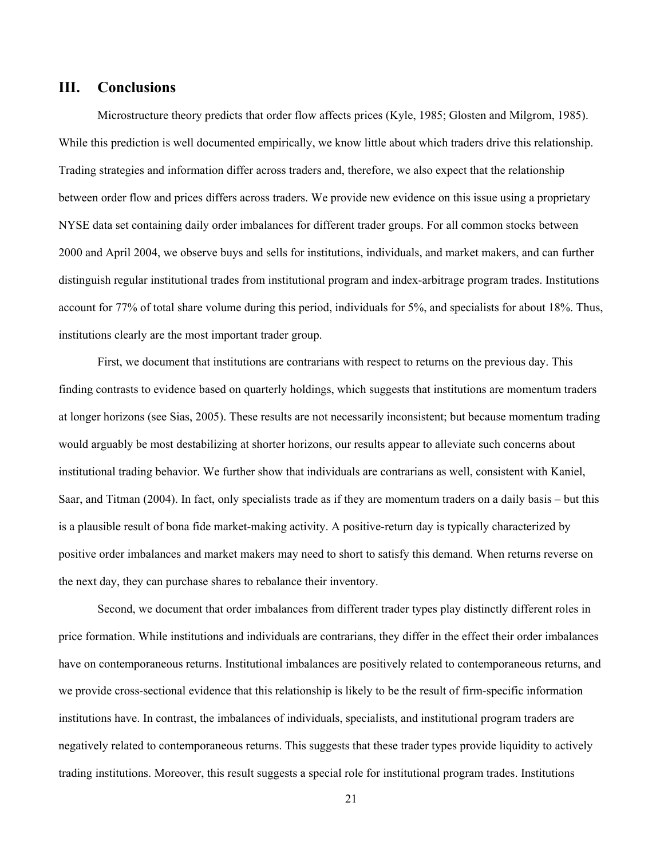# **III. Conclusions**

Microstructure theory predicts that order flow affects prices (Kyle, 1985; Glosten and Milgrom, 1985). While this prediction is well documented empirically, we know little about which traders drive this relationship. Trading strategies and information differ across traders and, therefore, we also expect that the relationship between order flow and prices differs across traders. We provide new evidence on this issue using a proprietary NYSE data set containing daily order imbalances for different trader groups. For all common stocks between 2000 and April 2004, we observe buys and sells for institutions, individuals, and market makers, and can further distinguish regular institutional trades from institutional program and index-arbitrage program trades. Institutions account for 77% of total share volume during this period, individuals for 5%, and specialists for about 18%. Thus, institutions clearly are the most important trader group.

First, we document that institutions are contrarians with respect to returns on the previous day. This finding contrasts to evidence based on quarterly holdings, which suggests that institutions are momentum traders at longer horizons (see Sias, 2005). These results are not necessarily inconsistent; but because momentum trading would arguably be most destabilizing at shorter horizons, our results appear to alleviate such concerns about institutional trading behavior. We further show that individuals are contrarians as well, consistent with Kaniel, Saar, and Titman (2004). In fact, only specialists trade as if they are momentum traders on a daily basis – but this is a plausible result of bona fide market-making activity. A positive-return day is typically characterized by positive order imbalances and market makers may need to short to satisfy this demand. When returns reverse on the next day, they can purchase shares to rebalance their inventory.

Second, we document that order imbalances from different trader types play distinctly different roles in price formation. While institutions and individuals are contrarians, they differ in the effect their order imbalances have on contemporaneous returns. Institutional imbalances are positively related to contemporaneous returns, and we provide cross-sectional evidence that this relationship is likely to be the result of firm-specific information institutions have. In contrast, the imbalances of individuals, specialists, and institutional program traders are negatively related to contemporaneous returns. This suggests that these trader types provide liquidity to actively trading institutions. Moreover, this result suggests a special role for institutional program trades. Institutions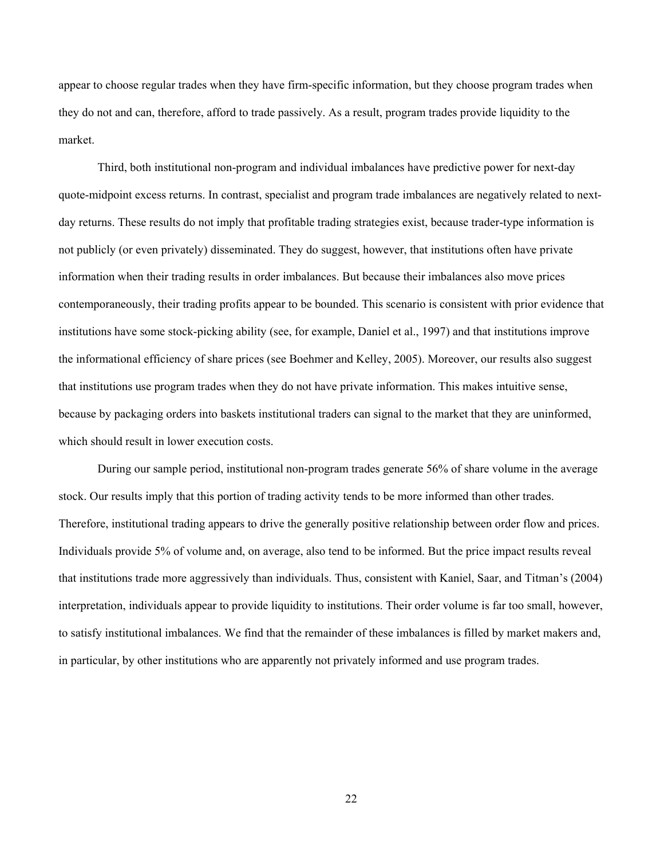appear to choose regular trades when they have firm-specific information, but they choose program trades when they do not and can, therefore, afford to trade passively. As a result, program trades provide liquidity to the market.

Third, both institutional non-program and individual imbalances have predictive power for next-day quote-midpoint excess returns. In contrast, specialist and program trade imbalances are negatively related to nextday returns. These results do not imply that profitable trading strategies exist, because trader-type information is not publicly (or even privately) disseminated. They do suggest, however, that institutions often have private information when their trading results in order imbalances. But because their imbalances also move prices contemporaneously, their trading profits appear to be bounded. This scenario is consistent with prior evidence that institutions have some stock-picking ability (see, for example, Daniel et al., 1997) and that institutions improve the informational efficiency of share prices (see Boehmer and Kelley, 2005). Moreover, our results also suggest that institutions use program trades when they do not have private information. This makes intuitive sense, because by packaging orders into baskets institutional traders can signal to the market that they are uninformed, which should result in lower execution costs.

During our sample period, institutional non-program trades generate 56% of share volume in the average stock. Our results imply that this portion of trading activity tends to be more informed than other trades. Therefore, institutional trading appears to drive the generally positive relationship between order flow and prices. Individuals provide 5% of volume and, on average, also tend to be informed. But the price impact results reveal that institutions trade more aggressively than individuals. Thus, consistent with Kaniel, Saar, and Titman's (2004) interpretation, individuals appear to provide liquidity to institutions. Their order volume is far too small, however, to satisfy institutional imbalances. We find that the remainder of these imbalances is filled by market makers and, in particular, by other institutions who are apparently not privately informed and use program trades.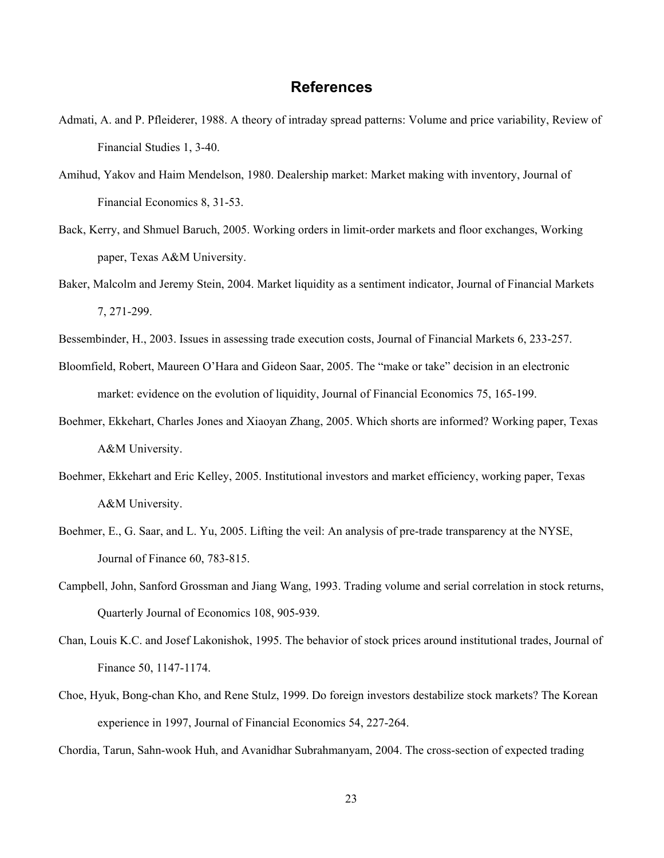# **References**

- Admati, A. and P. Pfleiderer, 1988. A theory of intraday spread patterns: Volume and price variability, Review of Financial Studies 1, 3-40.
- Amihud, Yakov and Haim Mendelson, 1980. Dealership market: Market making with inventory, Journal of Financial Economics 8, 31-53.
- Back, Kerry, and Shmuel Baruch, 2005. Working orders in limit-order markets and floor exchanges, Working paper, Texas A&M University.
- Baker, Malcolm and Jeremy Stein, 2004. Market liquidity as a sentiment indicator, Journal of Financial Markets 7, 271-299.
- Bessembinder, H., 2003. Issues in assessing trade execution costs, Journal of Financial Markets 6, 233-257.
- Bloomfield, Robert, Maureen O'Hara and Gideon Saar, 2005. The "make or take" decision in an electronic market: evidence on the evolution of liquidity, Journal of Financial Economics 75, 165-199.
- Boehmer, Ekkehart, Charles Jones and Xiaoyan Zhang, 2005. Which shorts are informed? Working paper, Texas A&M University.
- Boehmer, Ekkehart and Eric Kelley, 2005. Institutional investors and market efficiency, working paper, Texas A&M University.
- Boehmer, E., G. Saar, and L. Yu, 2005. Lifting the veil: An analysis of pre-trade transparency at the NYSE, Journal of Finance 60, 783-815.
- Campbell, John, Sanford Grossman and Jiang Wang, 1993. Trading volume and serial correlation in stock returns, Quarterly Journal of Economics 108, 905-939.
- Chan, Louis K.C. and Josef Lakonishok, 1995. The behavior of stock prices around institutional trades, Journal of Finance 50, 1147-1174.
- Choe, Hyuk, Bong-chan Kho, and Rene Stulz, 1999. Do foreign investors destabilize stock markets? The Korean experience in 1997, Journal of Financial Economics 54, 227-264.
- Chordia, Tarun, Sahn-wook Huh, and Avanidhar Subrahmanyam, 2004. The cross-section of expected trading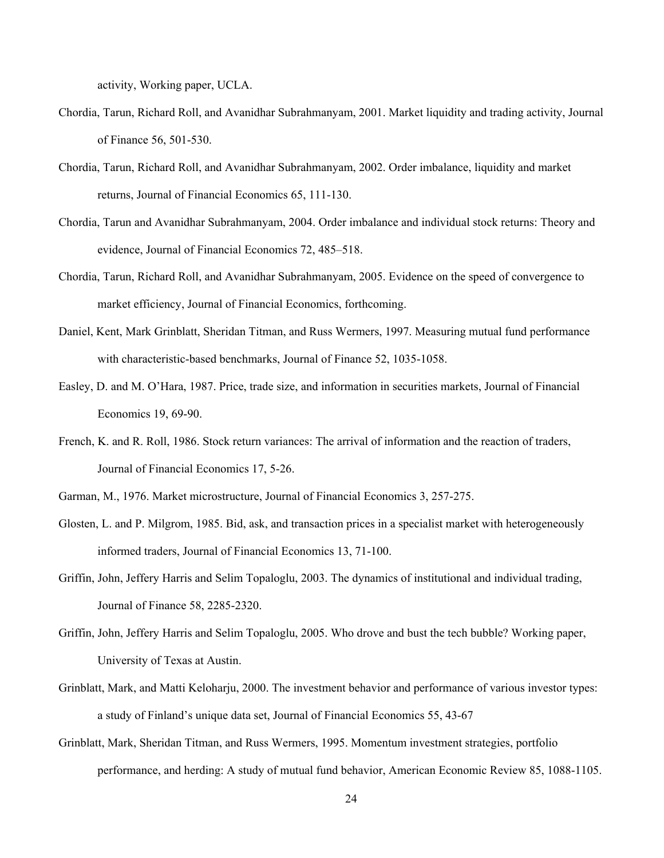activity, Working paper, UCLA.

- Chordia, Tarun, Richard Roll, and Avanidhar Subrahmanyam, 2001. Market liquidity and trading activity, Journal of Finance 56, 501-530.
- Chordia, Tarun, Richard Roll, and Avanidhar Subrahmanyam, 2002. Order imbalance, liquidity and market returns, Journal of Financial Economics 65, 111-130.
- Chordia, Tarun and Avanidhar Subrahmanyam, 2004. Order imbalance and individual stock returns: Theory and evidence, Journal of Financial Economics 72, 485–518.
- Chordia, Tarun, Richard Roll, and Avanidhar Subrahmanyam, 2005. Evidence on the speed of convergence to market efficiency, Journal of Financial Economics, forthcoming.
- Daniel, Kent, Mark Grinblatt, Sheridan Titman, and Russ Wermers, 1997. Measuring mutual fund performance with characteristic-based benchmarks, Journal of Finance 52, 1035-1058.
- Easley, D. and M. O'Hara, 1987. Price, trade size, and information in securities markets, Journal of Financial Economics 19, 69-90.
- French, K. and R. Roll, 1986. Stock return variances: The arrival of information and the reaction of traders, Journal of Financial Economics 17, 5-26.
- Garman, M., 1976. Market microstructure, Journal of Financial Economics 3, 257-275.
- Glosten, L. and P. Milgrom, 1985. Bid, ask, and transaction prices in a specialist market with heterogeneously informed traders, Journal of Financial Economics 13, 71-100.
- Griffin, John, Jeffery Harris and Selim Topaloglu, 2003. The dynamics of institutional and individual trading, Journal of Finance 58, 2285-2320.
- Griffin, John, Jeffery Harris and Selim Topaloglu, 2005. Who drove and bust the tech bubble? Working paper, University of Texas at Austin.
- Grinblatt, Mark, and Matti Keloharju, 2000. The investment behavior and performance of various investor types: a study of Finland's unique data set, Journal of Financial Economics 55, 43-67
- Grinblatt, Mark, Sheridan Titman, and Russ Wermers, 1995. Momentum investment strategies, portfolio performance, and herding: A study of mutual fund behavior, American Economic Review 85, 1088-1105.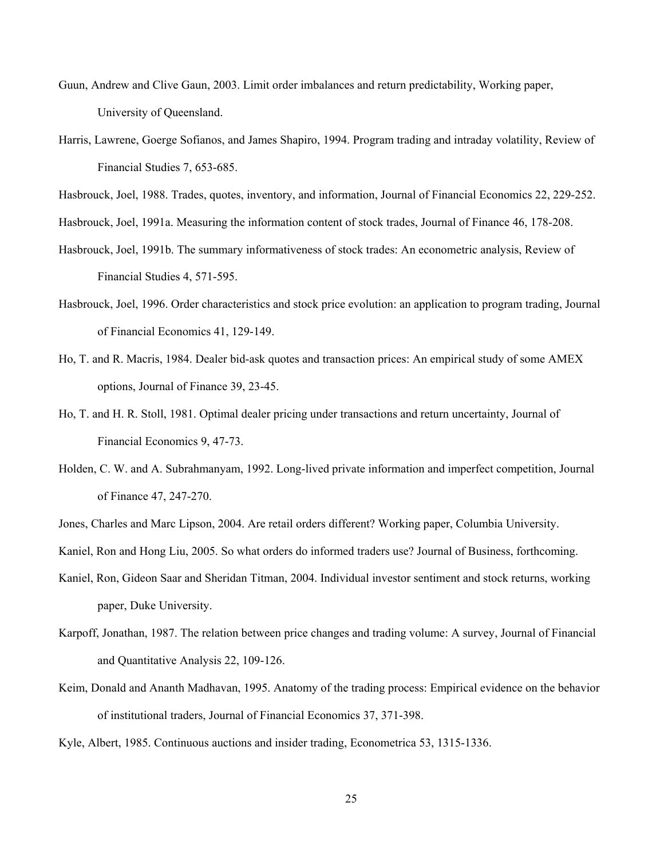- Guun, Andrew and Clive Gaun, 2003. Limit order imbalances and return predictability, Working paper, University of Queensland.
- Harris, Lawrene, Goerge Sofianos, and James Shapiro, 1994. Program trading and intraday volatility, Review of Financial Studies 7, 653-685.
- Hasbrouck, Joel, 1988. Trades, quotes, inventory, and information, Journal of Financial Economics 22, 229-252.
- Hasbrouck, Joel, 1991a. Measuring the information content of stock trades, Journal of Finance 46, 178-208.
- Hasbrouck, Joel, 1991b. The summary informativeness of stock trades: An econometric analysis, Review of Financial Studies 4, 571-595.
- Hasbrouck, Joel, 1996. Order characteristics and stock price evolution: an application to program trading, Journal of Financial Economics 41, 129-149.
- Ho, T. and R. Macris, 1984. Dealer bid-ask quotes and transaction prices: An empirical study of some AMEX options, Journal of Finance 39, 23-45.
- Ho, T. and H. R. Stoll, 1981. Optimal dealer pricing under transactions and return uncertainty, Journal of Financial Economics 9, 47-73.
- Holden, C. W. and A. Subrahmanyam, 1992. Long-lived private information and imperfect competition, Journal of Finance 47, 247-270.
- Jones, Charles and Marc Lipson, 2004. Are retail orders different? Working paper, Columbia University.
- Kaniel, Ron and Hong Liu, 2005. So what orders do informed traders use? Journal of Business, forthcoming.
- Kaniel, Ron, Gideon Saar and Sheridan Titman, 2004. Individual investor sentiment and stock returns, working paper, Duke University.
- Karpoff, Jonathan, 1987. The relation between price changes and trading volume: A survey, Journal of Financial and Quantitative Analysis 22, 109-126.
- Keim, Donald and Ananth Madhavan, 1995. Anatomy of the trading process: Empirical evidence on the behavior of institutional traders, Journal of Financial Economics 37, 371-398.
- Kyle, Albert, 1985. Continuous auctions and insider trading, Econometrica 53, 1315-1336.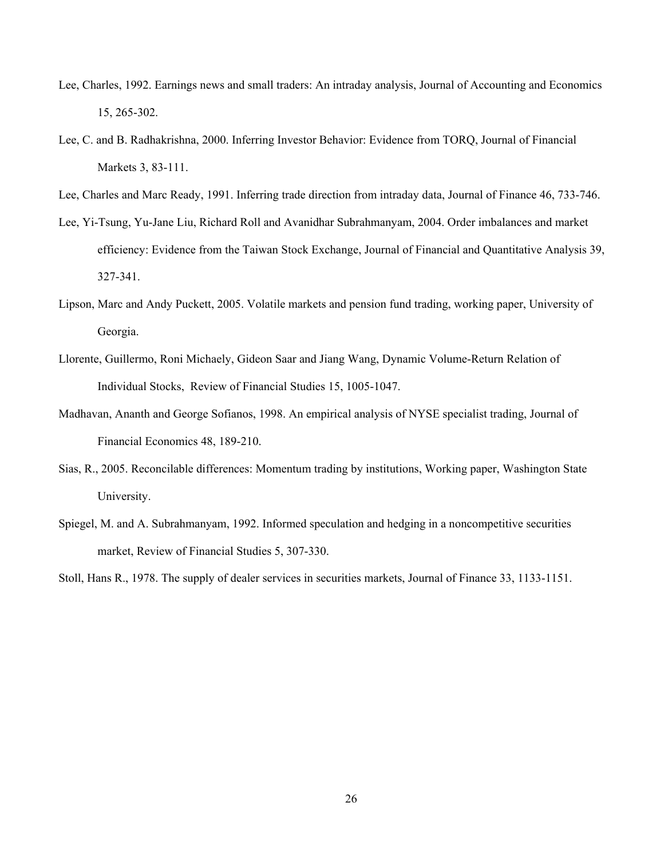- Lee, Charles, 1992. Earnings news and small traders: An intraday analysis, Journal of Accounting and Economics 15, 265-302.
- Lee, C. and B. Radhakrishna, 2000. Inferring Investor Behavior: Evidence from TORQ, Journal of Financial Markets 3, 83-111.
- Lee, Charles and Marc Ready, 1991. Inferring trade direction from intraday data, Journal of Finance 46, 733-746.
- Lee, Yi-Tsung, Yu-Jane Liu, Richard Roll and Avanidhar Subrahmanyam, 2004. Order imbalances and market efficiency: Evidence from the Taiwan Stock Exchange, Journal of Financial and Quantitative Analysis 39, 327-341.
- Lipson, Marc and Andy Puckett, 2005. Volatile markets and pension fund trading, working paper, University of Georgia.
- Llorente, Guillermo, Roni Michaely, Gideon Saar and Jiang Wang, Dynamic Volume-Return Relation of Individual Stocks, Review of Financial Studies 15, 1005-1047.
- Madhavan, Ananth and George Sofianos, 1998. An empirical analysis of NYSE specialist trading, Journal of Financial Economics 48, 189-210.
- Sias, R., 2005. Reconcilable differences: Momentum trading by institutions, Working paper, Washington State University.
- Spiegel, M. and A. Subrahmanyam, 1992. Informed speculation and hedging in a noncompetitive securities market, Review of Financial Studies 5, 307-330.

Stoll, Hans R., 1978. The supply of dealer services in securities markets, Journal of Finance 33, 1133-1151.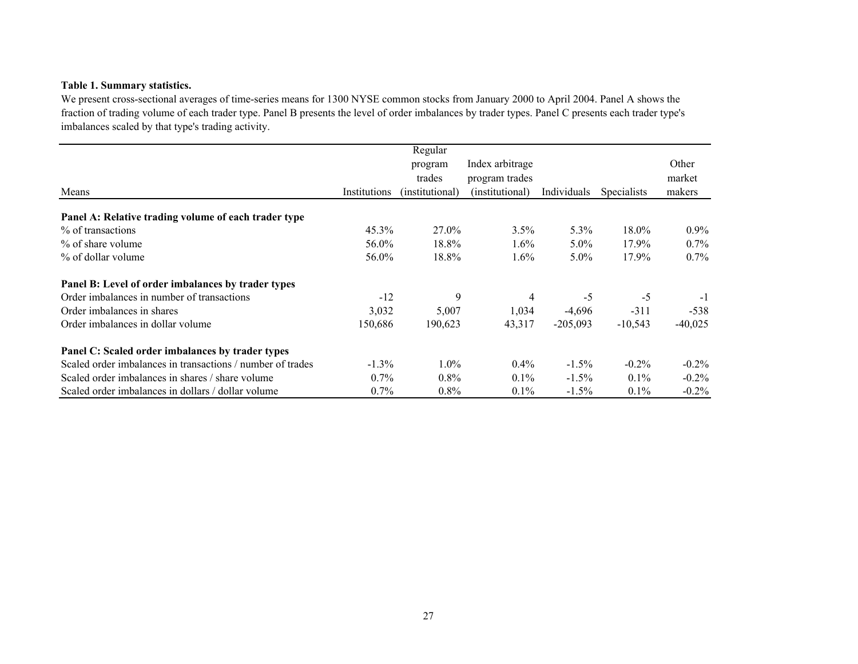### **Table 1. Summary statistics.**

We present cross-sectional averages of time-series means for 1300 NYSE common stocks from January 2000 to April 2004. Panel A shows the fraction of trading volume of each trader type. Panel B presents the level of order imbalances by trader types. Panel C presents each trader type's imbalances scaled by that type's trading activity.

|                                                            |              | Regular         |                 |             |                    |           |
|------------------------------------------------------------|--------------|-----------------|-----------------|-------------|--------------------|-----------|
|                                                            |              | program         | Index arbitrage |             |                    | Other     |
|                                                            |              | trades          | program trades  |             |                    | market    |
| Means                                                      | Institutions | (institutional) | (institutional) | Individuals | <b>Specialists</b> | makers    |
| Panel A: Relative trading volume of each trader type       |              |                 |                 |             |                    |           |
| % of transactions                                          | $45.3\%$     | 27.0%           | 3.5%            | 5.3%        | 18.0%              | $0.9\%$   |
| % of share volume                                          | 56.0%        | 18.8%           | $1.6\%$         | $5.0\%$     | 17.9%              | $0.7\%$   |
| % of dollar volume                                         | 56.0%        | 18.8%           | $1.6\%$         | 5.0%        | 17.9%              | $0.7\%$   |
| Panel B: Level of order imbalances by trader types         |              |                 |                 |             |                    |           |
| Order imbalances in number of transactions                 | $-12$        | 9               | 4               | $-5$        | $-5$               | $-1$      |
| Order imbalances in shares                                 | 3,032        | 5,007           | 1,034           | $-4,696$    | $-311$             | $-538$    |
| Order imbalances in dollar volume                          | 150,686      | 190,623         | 43,317          | $-205,093$  | $-10,543$          | $-40,025$ |
| Panel C: Scaled order imbalances by trader types           |              |                 |                 |             |                    |           |
| Scaled order imbalances in transactions / number of trades | $-1.3\%$     | $1.0\%$         | $0.4\%$         | $-1.5\%$    | $-0.2\%$           | $-0.2\%$  |
| Scaled order imbalances in shares / share volume           | $0.7\%$      | $0.8\%$         | $0.1\%$         | $-1.5\%$    | $0.1\%$            | $-0.2\%$  |
| Scaled order imbalances in dollars / dollar volume         | $0.7\%$      | $0.8\%$         | $0.1\%$         | $-1.5\%$    | $0.1\%$            | $-0.2\%$  |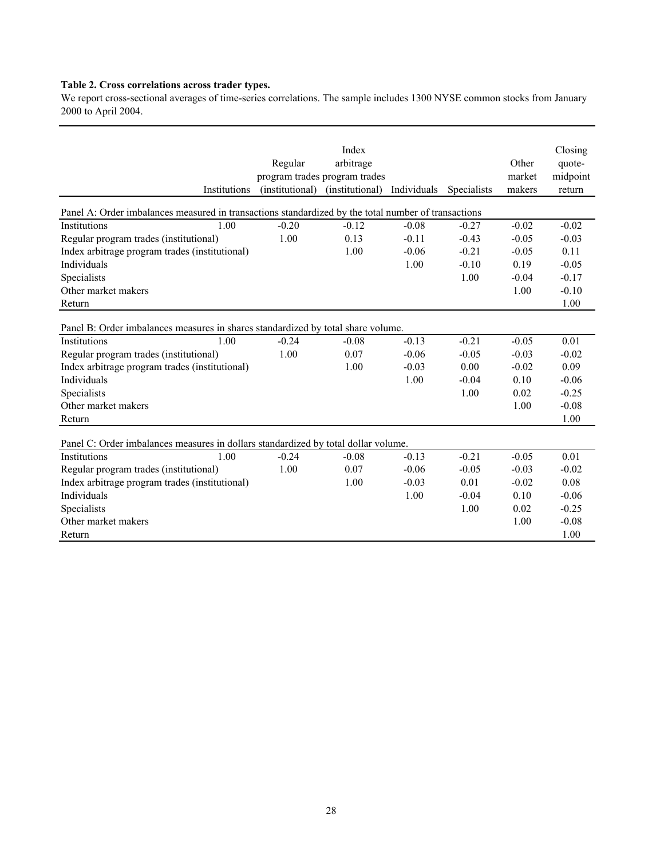#### **Table 2. Cross correlations across trader types.**

We report cross-sectional averages of time-series correlations. The sample includes 1300 NYSE common stocks from January 2000 to April 2004.

| Institutions                                                                                        | Regular<br>program trades program trades<br>(institutional) | Index<br>arbitrage<br>(institutional) | Individuals | Specialists | Other<br>market<br>makers | Closing<br>quote-<br>midpoint<br>return |
|-----------------------------------------------------------------------------------------------------|-------------------------------------------------------------|---------------------------------------|-------------|-------------|---------------------------|-----------------------------------------|
| Panel A: Order imbalances measured in transactions standardized by the total number of transactions |                                                             |                                       |             |             |                           |                                         |
| 1.00<br>Institutions                                                                                | $-0.20$                                                     | $-0.12$                               | $-0.08$     | $-0.27$     | $-0.02$                   | $-0.02$                                 |
| Regular program trades (institutional)                                                              | 1.00                                                        | 0.13                                  | $-0.11$     | $-0.43$     | $-0.05$                   | $-0.03$                                 |
| Index arbitrage program trades (institutional)                                                      |                                                             | 1.00                                  | $-0.06$     | $-0.21$     | $-0.05$                   | 0.11                                    |
| Individuals                                                                                         |                                                             |                                       | 1.00        | $-0.10$     | 0.19                      | $-0.05$                                 |
| Specialists                                                                                         |                                                             |                                       |             | 1.00        | $-0.04$                   | $-0.17$                                 |
| Other market makers                                                                                 |                                                             |                                       |             |             | 1.00                      | $-0.10$                                 |
| Return                                                                                              |                                                             |                                       |             |             |                           | 1.00                                    |
| Panel B: Order imbalances measures in shares standardized by total share volume.                    |                                                             |                                       |             |             |                           |                                         |
| 1.00<br>Institutions                                                                                | $-0.24$                                                     | $-0.08$                               | $-0.13$     | $-0.21$     | $-0.05$                   | 0.01                                    |
| Regular program trades (institutional)                                                              | 1.00                                                        | 0.07                                  | $-0.06$     | $-0.05$     | $-0.03$                   | $-0.02$                                 |
| Index arbitrage program trades (institutional)                                                      |                                                             | 1.00                                  | $-0.03$     | 0.00        | $-0.02$                   | 0.09                                    |
| Individuals                                                                                         |                                                             |                                       | 1.00        | $-0.04$     | 0.10                      | $-0.06$                                 |
| Specialists                                                                                         |                                                             |                                       |             | 1.00        | 0.02                      | $-0.25$                                 |
| Other market makers                                                                                 |                                                             |                                       |             |             | 1.00                      | $-0.08$                                 |
| Return                                                                                              |                                                             |                                       |             |             |                           | 1.00                                    |
| Panel C: Order imbalances measures in dollars standardized by total dollar volume.                  |                                                             |                                       |             |             |                           |                                         |
| 1.00<br>Institutions                                                                                | $-0.24$                                                     | $-0.08$                               | $-0.13$     | $-0.21$     | $-0.05$                   | 0.01                                    |
| Regular program trades (institutional)                                                              | 1.00                                                        | 0.07                                  | $-0.06$     | $-0.05$     | $-0.03$                   | $-0.02$                                 |
| Index arbitrage program trades (institutional)                                                      |                                                             | 1.00                                  | $-0.03$     | 0.01        | $-0.02$                   | 0.08                                    |
| Individuals                                                                                         |                                                             |                                       | 1.00        | $-0.04$     | 0.10                      | $-0.06$                                 |
| Specialists                                                                                         |                                                             |                                       |             | 1.00        | 0.02                      | $-0.25$                                 |
| Other market makers                                                                                 |                                                             |                                       |             |             | 1.00                      | $-0.08$                                 |
| Return                                                                                              |                                                             |                                       |             |             |                           | 1.00                                    |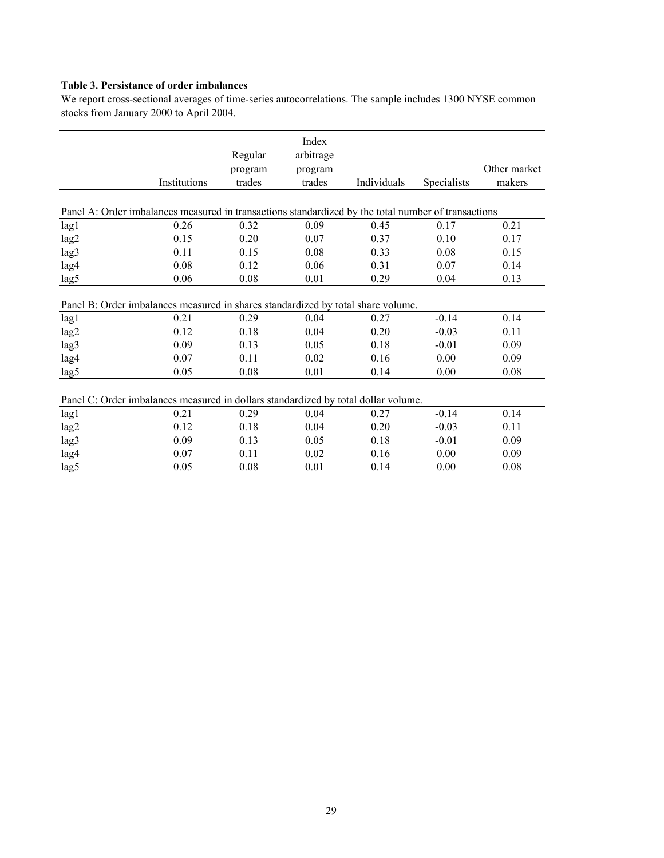# **Table 3. Persistance of order imbalances**

We report cross-sectional averages of time-series autocorrelations. The sample includes 1300 NYSE common stocks from January 2000 to April 2004.

|                                                                                                     | Institutions | Regular<br>program<br>trades | Index<br>arbitrage<br>program<br>trades | Individuals | Specialists | Other market<br>makers |
|-----------------------------------------------------------------------------------------------------|--------------|------------------------------|-----------------------------------------|-------------|-------------|------------------------|
|                                                                                                     |              |                              |                                         |             |             |                        |
| Panel A: Order imbalances measured in transactions standardized by the total number of transactions |              |                              |                                         |             |             |                        |
| lag1                                                                                                | 0.26         | 0.32                         | 0.09                                    | 0.45        | 0.17        | 0.21                   |
| lag2                                                                                                | 0.15         | 0.20                         | 0.07                                    | 0.37        | 0.10        | 0.17                   |
| lag3                                                                                                | 0.11         | 0.15                         | 0.08                                    | 0.33        | 0.08        | 0.15                   |
| lag4                                                                                                | 0.08         | 0.12                         | 0.06                                    | 0.31        | 0.07        | 0.14                   |
| lag5                                                                                                | 0.06         | 0.08                         | 0.01                                    | 0.29        | 0.04        | 0.13                   |
| Panel B: Order imbalances measured in shares standardized by total share volume.                    |              |                              |                                         |             |             |                        |
| lag1                                                                                                | 0.21         | 0.29                         | 0.04                                    | 0.27        | $-0.14$     | 0.14                   |
| lag2                                                                                                | 0.12         | 0.18                         | 0.04                                    | 0.20        | $-0.03$     | 0.11                   |
| lag3                                                                                                | 0.09         | 0.13                         | 0.05                                    | 0.18        | $-0.01$     | 0.09                   |
| lag4                                                                                                | 0.07         | 0.11                         | 0.02                                    | 0.16        | 0.00        | 0.09                   |
| lag5                                                                                                | 0.05         | 0.08                         | 0.01                                    | 0.14        | 0.00        | 0.08                   |
| Panel C: Order imbalances measured in dollars standardized by total dollar volume.                  |              |                              |                                         |             |             |                        |
| lag1                                                                                                | 0.21         | 0.29                         | 0.04                                    | 0.27        | $-0.14$     | 0.14                   |
| lag2                                                                                                | 0.12         | 0.18                         | 0.04                                    | 0.20        | $-0.03$     | 0.11                   |
| lag3                                                                                                | 0.09         | 0.13                         | 0.05                                    | 0.18        | $-0.01$     | 0.09                   |
| lag4                                                                                                | 0.07         | 0.11                         | 0.02                                    | 0.16        | 0.00        | 0.09                   |
| lag5                                                                                                | 0.05         | 0.08                         | 0.01                                    | 0.14        | 0.00        | 0.08                   |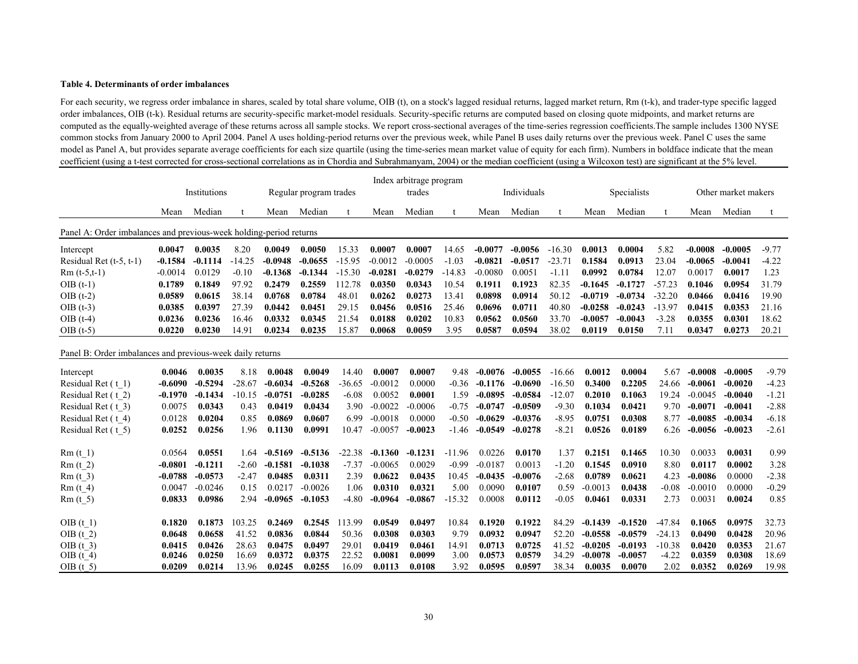#### **Table 4. Determinants of order imbalances**

For each security, we regress order imbalance in shares, scaled by total share volume, OIB (t), on a stock's lagged residual returns, lagged market return, Rm (t-k), and trader-type specific lagged order imbalances, OIB (t-k). Residual returns are security-specific market-model residuals. Security-specific returns are computed based on closing quote midpoints, and market returns are computed as the equally-weighted average of these returns across all sample stocks. We report cross-sectional averages of the time-series regression coefficients.The sample includes 1300 NYSE common stocks from January 2000 to April 2004. Panel A uses holding-period returns over the previous week, while Panel B uses daily returns over the previous week. Panel C uses the same model as Panel A, but provides separate average coefficients for each size quartile (using the time-series mean market value of equity for each firm). Numbers in boldface indicate that the mean coefficient (using a t-test corrected for cross-sectional correlations as in Chordia and Subrahmanyam, 2004) or the median coefficient (using a Wilcoxon test) are significant at the 5% level.

|                                                                    |           | Institutions |          |           | Regular program trades |          |           | Index arbitrage program<br>trades<br>Individuals |          |           |           |          |           | Specialists |          | Other market makers |           |         |
|--------------------------------------------------------------------|-----------|--------------|----------|-----------|------------------------|----------|-----------|--------------------------------------------------|----------|-----------|-----------|----------|-----------|-------------|----------|---------------------|-----------|---------|
|                                                                    |           |              |          |           |                        |          |           |                                                  |          |           |           |          |           |             |          |                     |           |         |
|                                                                    | Mean      | Median       |          | Mean      | Median                 |          | Mean      | Median                                           |          | Mean      | Median    |          | Mean      | Median      |          | Mean                | Median    |         |
| Panel A: Order imbalances and previous-week holding-period returns |           |              |          |           |                        |          |           |                                                  |          |           |           |          |           |             |          |                     |           |         |
| Intercept                                                          | 0.0047    | 0.0035       | 8.20     | 0.0049    | 0.0050                 | 15.33    | 0.0007    | 0.0007                                           | 14.65    | $-0.0077$ | $-0.0056$ | $-16.30$ | 0.0013    | 0.0004      | 5.82     | $-0.0008$           | -0.0005   | $-9.77$ |
| Residual Ret $(t-5, t-1)$                                          | $-0.1584$ | $-0.1114$    | $-14.25$ | $-0.0948$ | $-0.0655$              | $-15.95$ | $-0.0012$ | $-0.0005$                                        | $-1.03$  | $-0.0821$ | $-0.0517$ | $-23.71$ | 0.1584    | 0.0913      | 23.04    | $-0.0065$           | $-0.0041$ | $-4.22$ |
| $Rm(t-5,t-1)$                                                      | $-0.0014$ | 0.0129       | $-0.10$  | $-0.1368$ | $-0.1344$              | $-15.30$ | $-0.0281$ | $-0.0279$                                        | $-14.83$ | $-0.0080$ | 0.0051    | $-1.11$  | 0.0992    | 0.0784      | 12.07    | 0.0017              | 0.0017    | 1.23    |
| $OIB(t-1)$                                                         | 0.1789    | 0.1849       | 97.92    | 0.2479    | 0.2559                 | 112.78   | 0.0350    | 0.0343                                           | 10.54    | 0.1911    | 0.1923    | 82.35    | $-0.1645$ | $-0.1727$   | $-57.23$ | 0.1046              | 0.0954    | 31.79   |
| $OIB(t-2)$                                                         | 0.0589    | 0.0615       | 38.14    | 0.0768    | 0.0784                 | 48.01    | 0.0262    | 0.0273                                           | 13.41    | 0.0898    | 0.0914    | 50.12    | $-0.0719$ | $-0.0734$   | $-32.20$ | 0.0466              | 0.0416    | 19.90   |
| $OIB(t-3)$                                                         | 0.0385    | 0.0397       | 27.39    | 0.0442    | 0.0451                 | 29.15    | 0.0456    | 0.0516                                           | 25.46    | 0.0696    | 0.0711    | 40.80    | $-0.0258$ | $-0.0243$   | $-13.97$ | 0.0415              | 0.0353    | 21.16   |
| $OIB$ (t-4)                                                        | 0.0236    | 0.0236       | 16.46    | 0.0332    | 0.0345                 | 21.54    | 0.0188    | 0.0202                                           | 10.83    | 0.0562    | 0.0560    | 33.70    | $-0.0057$ | $-0.0043$   | $-3.28$  | 0.0355              | 0.0301    | 18.62   |
| $OIB(t-5)$                                                         | 0.0220    | 0.0230       | 14.91    | 0.0234    | 0.0235                 | 15.87    | 0.0068    | 0.0059                                           | 3.95     | 0.0587    | 0.0594    | 38.02    | 0.0119    | 0.0150      | 7.11     | 0.0347              | 0.0273    | 20.21   |
| Panel B: Order imbalances and previous-week daily returns          |           |              |          |           |                        |          |           |                                                  |          |           |           |          |           |             |          |                     |           |         |
| Intercept                                                          | 0.0046    | 0.0035       | 8.18     | 0.0048    | 0.0049                 | 14.40    | 0.0007    | 0.0007                                           | 9.48     | $-0.0076$ | $-0.0055$ | $-16.66$ | 0.0012    | 0.0004      | 5.67     | $-0.0008$           | $-0.0005$ | $-9.79$ |
| Residual Ret (t 1)                                                 | $-0.6090$ | $-0.5294$    | $-28.67$ | $-0.6034$ | $-0.5268$              | $-36.65$ | $-0.0012$ | 0.0000                                           | $-0.36$  | $-0.1176$ | $-0.0690$ | $-16.50$ | 0.3400    | 0.2205      | 24.66    | $-0.0061$           | $-0.0020$ | $-4.23$ |
| Residual Ret (t 2)                                                 | $-0.1970$ | $-0.1434$    | $-10.15$ | $-0.0751$ | $-0.0285$              | $-6.08$  | 0.0052    | 0.0001                                           | 1.59     | $-0.0895$ | $-0.0584$ | $-12.07$ | 0.2010    | 0.1063      | 19.24    | $-0.0045$           | $-0.0040$ | $-1.21$ |
| Residual Ret (t 3)                                                 | 0.0075    | 0.0343       | 0.43     | 0.0419    | 0.0434                 | 3.90     | $-0.0022$ | $-0.0006$                                        | $-0.75$  | $-0.0747$ | $-0.0509$ | $-9.30$  | 0.1034    | 0.0421      | 9.70     | $-0.0071$           | $-0.0041$ | $-2.88$ |
| Residual Ret (t 4)                                                 | 0.0128    | 0.0204       | 0.85     | 0.0869    | 0.0607                 | 6.99     | $-0.0018$ | 0.0000                                           | $-0.50$  | $-0.0629$ | $-0.0376$ | $-8.95$  | 0.0751    | 0.0308      | 8.77     | $-0.0085$           | $-0.0034$ | $-6.18$ |
| Residual Ret (t 5)                                                 | 0.0252    | 0.0256       | 1.96     | 0.1130    | 0.0991                 | 10.47    | $-0.0057$ | $-0.0023$                                        | $-1.46$  | $-0.0549$ | $-0.0278$ | $-8.21$  | 0.0526    | 0.0189      | 6.26     | $-0.0056$           | $-0.0023$ | $-2.61$ |
| Rm(t 1)                                                            | 0.0564    | 0.0551       | 1.64     | $-0.5169$ | $-0.5136$              | $-22.38$ | $-0.1360$ | $-0.1231$                                        | $-11.96$ | 0.0226    | 0.0170    | 1.37     | 0.2151    | 0.1465      | 10.30    | 0.0033              | 0.0031    | 0.99    |
| Rm(t <sub>2</sub> )                                                | $-0.0801$ | $-0.1211$    | $-2.60$  | $-0.1581$ | $-0.1038$              | $-7.37$  | $-0.0065$ | 0.0029                                           | $-0.99$  | $-0.0187$ | 0.0013    | $-1.20$  | 0.1545    | 0.0910      | 8.80     | 0.0117              | 0.0002    | 3.28    |
| $Rm(t)$ 3)                                                         | $-0.0788$ | $-0.0573$    | $-2.47$  | 0.0485    | 0.0311                 | 2.39     | 0.0622    | 0.0435                                           | 10.45    | $-0.0435$ | $-0.0076$ | $-2.68$  | 0.0789    | 0.0621      | 4.23     | $-0.0086$           | 0.0000    | $-2.38$ |
| Rm(t 4)                                                            | 0.0047    | $-0.0246$    | 0.15     | 0.0217    | $-0.0026$              | 1.06     | 0.0310    | 0.0321                                           | 5.00     | 0.0090    | 0.0107    | 0.59     | $-0.0013$ | 0.0438      | $-0.08$  | $-0.0010$           | 0.0000    | $-0.29$ |
| Rm(t 5)                                                            | 0.0833    | 0.0986       | 2.94     | $-0.0965$ | $-0.1053$              | $-4.80$  | $-0.0964$ | $-0.0867$                                        | $-15.32$ | 0.0008    | 0.0112    | $-0.05$  | 0.0461    | 0.0331      | 2.73     | 0.0031              | 0.0024    | 0.85    |
|                                                                    |           |              |          |           |                        |          |           |                                                  |          |           |           |          |           |             |          |                     |           |         |
| OIB(t 1)                                                           | 0.1820    | 0.1873       | 103.25   | 0.2469    | 0.2545                 | 113.99   | 0.0549    | 0.0497                                           | 10.84    | 0.1920    | 0.1922    | 84.29    | $-0.1439$ | $-0.1520$   | $-47.84$ | 0.1065              | 0.0975    | 32.73   |
| OIB $(t 2)$                                                        | 0.0648    | 0.0658       | 41.52    | 0.0836    | 0.0844                 | 50.36    | 0.0308    | 0.0303                                           | 9.79     | 0.0932    | 0.0947    | 52.20    | $-0.0558$ | $-0.0579$   | $-24.13$ | 0.0490              | 0.0428    | 20.96   |
| OIB $(t, 3)$                                                       | 0.0415    | 0.0426       | 28.63    | 0.0475    | 0.0497                 | 29.01    | 0.0419    | 0.0461                                           | 14.91    | 0.0713    | 0.0725    | 41.52    | $-0.0205$ | $-0.0193$   | $-10.38$ | 0.0420              | 0.0353    | 21.67   |
| OIB $(t, 4)$                                                       | 0.0246    | 0.0250       | 16.69    | 0.0372    | 0.0375                 | 22.52    | 0.0081    | 0.0099                                           | 3.00     | 0.0573    | 0.0579    | 34.29    | $-0.0078$ | $-0.0057$   | $-4.22$  | 0.0359              | 0.0308    | 18.69   |
| OIB $(t 5)$                                                        | 0.0209    | 0.0214       | 13.96    | 0.0245    | 0.0255                 | 16.09    | 0.0113    | 0.0108                                           | 3.92     | 0.0595    | 0.0597    | 38.34    | 0.0035    | 0.0070      | 2.02     | 0.0352              | 0.0269    | 19.98   |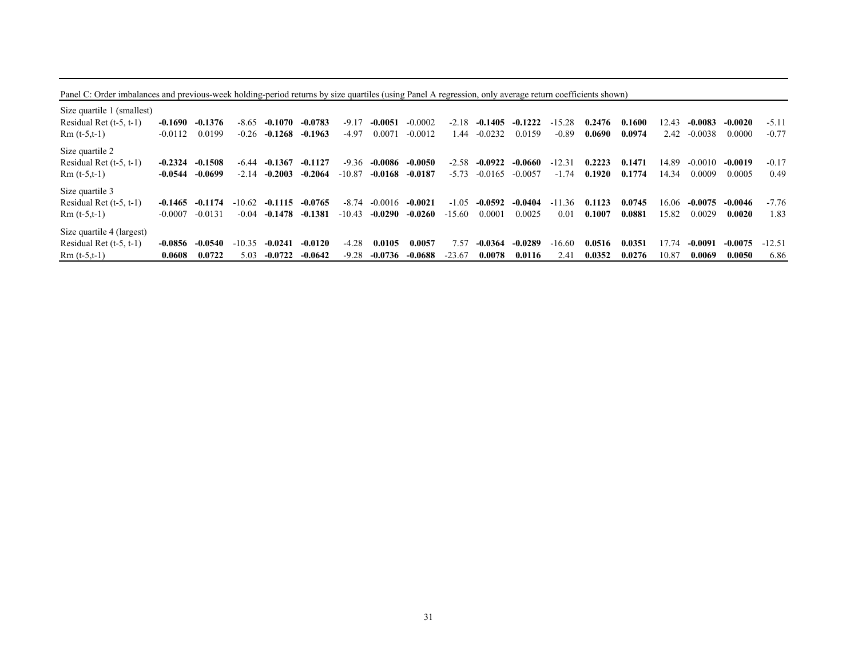Panel C: Order imbalances and previous-week holding-period returns by size quartiles (using Panel A regression, only average return coefficients shown)

| Size quartile 1 (smallest) |           |           |          |           |           |          |           |           |          |           |           |               |        |        |       |           |           |          |
|----------------------------|-----------|-----------|----------|-----------|-----------|----------|-----------|-----------|----------|-----------|-----------|---------------|--------|--------|-------|-----------|-----------|----------|
| Residual Ret $(t-5, t-1)$  | -0.1690   | $-0.1376$ | $-8.65$  | $-0.1070$ | $-0.0783$ | $-9.17$  | $-0.0051$ | $-0.0002$ | $-2.18$  | $-0.1405$ | $-0.1222$ | $-15.28$      | 0.2476 | 0.1600 | 12.43 | $-0.0083$ | $-0.0020$ | $-5.11$  |
| $Rm(t-5,t-1)$              | $-0.0112$ | 0.0199    | $-0.26$  | $-0.1268$ | $-0.1963$ | $-4.97$  | 0.0071    | $-0.0012$ | .44      | $-0.0232$ | 0.0159    | $-0.89$       | 0.0690 | 0.0974 | 2.42  | $-0.0038$ | 0.0000    | $-0.77$  |
| Size quartile 2            |           |           |          |           |           |          |           |           |          |           |           |               |        |        |       |           |           |          |
| Residual Ret $(t-5, t-1)$  | $-0.2324$ | $-0.1508$ | -6.44    | $-0.1367$ | $-0.1127$ | $-9.36$  | -0.0086   | $-0.0050$ | $-2.58$  | $-0.0922$ | -0.0660   | $-12.31$      | 0.2223 | 0.1471 | 14.89 | $-0.0010$ | $-0.0019$ | $-0.17$  |
| $Rm(t-5,t-1)$              | $-0.0544$ | $-0.0699$ | $-2.14$  | $-0.2003$ | $-0.2064$ | $-10.87$ | $-0.0168$ | $-0.0187$ | $-5.73$  | $-0.0165$ | $-0.0057$ | $-1.74$       | 0.1920 | 0.1774 | 14.34 | 0.0009    | 0.0005    | 0.49     |
| Size quartile 3            |           |           |          |           |           |          |           |           |          |           |           |               |        |        |       |           |           |          |
| Residual Ret $(t-5, t-1)$  | $-0.1465$ | $-0.1174$ | $-10.62$ | $-0.1115$ | $-0.0765$ | $-8.74$  | $-0.0016$ | $-0.0021$ | $-1.05$  | $-0.0592$ | $-0.0404$ | .36<br>$-11$  | 0.1123 | 0.0745 | 16.06 | $-0.0075$ | $-0.0046$ | $-7.76$  |
| $Rm(t-5,t-1)$              | $-0.0007$ | $-0.0131$ | $-0.04$  | $-0.1478$ | $-0.1381$ | $-10.43$ | $-0.0290$ | $-0.0260$ | $-15.60$ | 0.0001    | 0.0025    | 0.01          | 0.1007 | 0.0881 | 15.82 | 0.0029    | 0.0020    | 1.83     |
| Size quartile 4 (largest)  |           |           |          |           |           |          |           |           |          |           |           |               |        |        |       |           |           |          |
| Residual Ret $(t-5, t-1)$  | $-0.0856$ | $-0.0540$ | $-10.35$ | $-0.0241$ | $-0.0120$ | $-4.28$  | 0.0105    | 0.0057    | 7.57     | $-0.0364$ | $-0.0289$ | $-16.60$      | 0.0516 | 0.0351 | 17.74 | $-0.0091$ | $-0.0075$ | $-12.51$ |
| $Rm$ (t-5,t-1)             | 0.0608    | 0.0722    | 5.03     | $-0.0722$ | $-0.0642$ | $-9.28$  | $-0.0736$ | $-0.0688$ | $-23.67$ | 0.0078    | 0.0116    | $2.4^{\circ}$ | 0.0352 | 0.0276 | 10.87 | 0.0069    | 0.0050    | 6.86     |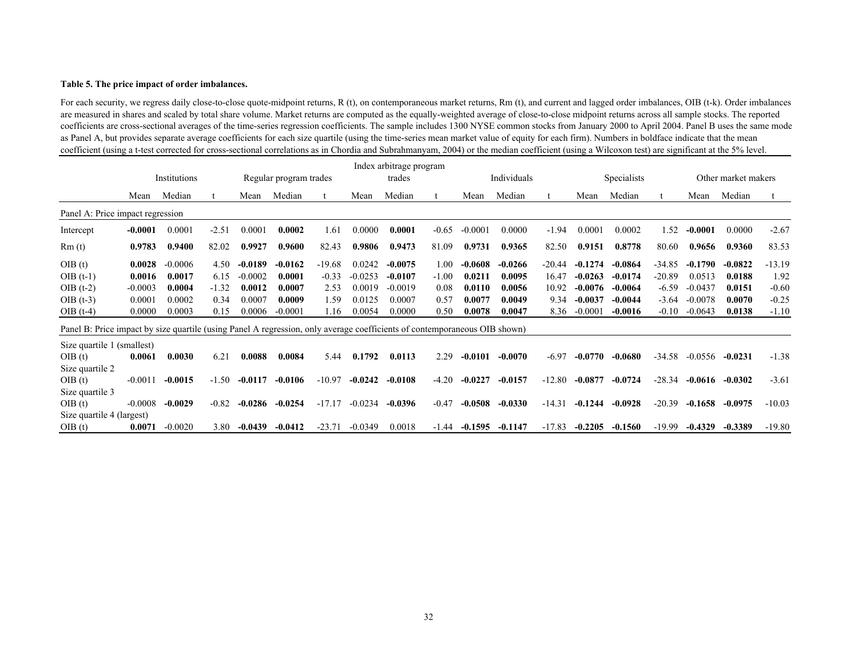#### **Table 5. The price impact of order imbalances.**

For each security, we regress daily close-to-close quote-midpoint returns, R (t), on contemporaneous market returns, Rm (t), and current and lagged order imbalances, OIB (t-k). Order imbalances are measured in shares and scaled by total share volume. Market returns are computed as the equally-weighted average of close-to-close midpoint returns across all sample stocks. The reported coefficients are cross-sectional averages of the time-series regression coefficients. The sample includes 1300 NYSE common stocks from January 2000 to April 2004. Panel B uses the same mode as Panel A, but provides separate average coefficients for each size quartile (using the time-series mean market value of equity for each firm). Numbers in boldface indicate that the mean coefficient (using a t-test corrected for cross-sectional correlations as in Chordia and Subrahmanyam, 2004) or the median coefficient (using a Wilcoxon test) are significant at the 5% level.

|                                                                                                                           |           |              |         |           |                        |          |           | Index arbitrage program |         |           |             |          |           |                    |          |           |                     |          |
|---------------------------------------------------------------------------------------------------------------------------|-----------|--------------|---------|-----------|------------------------|----------|-----------|-------------------------|---------|-----------|-------------|----------|-----------|--------------------|----------|-----------|---------------------|----------|
|                                                                                                                           |           | Institutions |         |           | Regular program trades |          |           | trades                  |         |           | Individuals |          |           | <b>Specialists</b> |          |           | Other market makers |          |
|                                                                                                                           | Mean      | Median       |         | Mean      | Median                 |          | Mean      | Median                  |         | Mean      | Median      |          | Mean      | Median             |          | Mean      | Median              |          |
| Panel A: Price impact regression                                                                                          |           |              |         |           |                        |          |           |                         |         |           |             |          |           |                    |          |           |                     |          |
| Intercept                                                                                                                 | $-0.0001$ | 0.0001       | $-2.51$ | 0.0001    | 0.0002                 | 1.61     | 0.0000    | 0.0001                  | $-0.65$ | $-0.0001$ | 0.0000      | $-1.94$  | 0.0001    | 0.0002             | 1.52     | $-0.0001$ | 0.0000              | $-2.67$  |
| Rm(t)                                                                                                                     | 0.9783    | 0.9400       | 82.02   | 0.9927    | 0.9600                 | 82.43    | 0.9806    | 0.9473                  | 81.09   | 0.9731    | 0.9365      | 82.50    | 0.9151    | 0.8778             | 80.60    | 0.9656    | 0.9360              | 83.53    |
| OIB(t)                                                                                                                    | 0.0028    | $-0.0006$    | 4.50    | $-0.0189$ | $-0.0162$              | $-19.68$ | 0.0242    | $-0.0075$               | 1.00    | $-0.0608$ | $-0.0266$   | $-20.44$ | $-0.1274$ | $-0.0864$          | $-34.85$ | $-0.1790$ | $-0.0822$           | $-13.19$ |
| $OIB(t-1)$                                                                                                                | 0.0016    | 0.0017       | 6.15    | $-0.0002$ | 0.0001                 | $-0.33$  | $-0.0253$ | $-0.0107$               | $-1.00$ | 0.0211    | 0.0095      | 16.47    | $-0.0263$ | $-0.0174$          | $-20.89$ | 0.0513    | 0.0188              | 1.92     |
| $OIB(t-2)$                                                                                                                | $-0.0003$ | 0.0004       | $-1.32$ | 0.0012    | 0.0007                 | 2.53     | 0.0019    | $-0.0019$               | 0.08    | 0.0110    | 0.0056      | 10.92    | $-0.0076$ | $-0.0064$          | $-6.59$  | $-0.0437$ | 0.0151              | $-0.60$  |
| $OIB(t-3)$                                                                                                                | 0.0001    | 0.0002       | 0.34    | 0.0007    | 0.0009                 | 1.59     | 0.0125    | 0.0007                  | 0.57    | 0.0077    | 0.0049      | 9.34     | $-0.0037$ | $-0.0044$          | $-3.64$  | $-0.0078$ | 0.0070              | $-0.25$  |
| $OIB(t-4)$                                                                                                                | 0.0000    | 0.0003       | 0.15    | 0.0006    | $-0.0001$              | 1.16     | 0.0054    | 0.0000                  | 0.50    | 0.0078    | 0.0047      | 8.36     | $-0.0001$ | $-0.0016$          | $-0.10$  | $-0.0643$ | 0.0138              | $-1.10$  |
| Panel B: Price impact by size quartile (using Panel A regression, only average coefficients of contemporaneous OIB shown) |           |              |         |           |                        |          |           |                         |         |           |             |          |           |                    |          |           |                     |          |
| Size quartile 1 (smallest)                                                                                                |           |              |         |           |                        |          |           |                         |         |           |             |          |           |                    |          |           |                     |          |
| OIB(t)                                                                                                                    | 0.0061    | 0.0030       | 6.21    | 0.0088    | 0.0084                 | 5.44     | 0.1792    | 0.0113                  | 2.29    | $-0.0101$ | $-0.0070$   | $-6.97$  | $-0.0770$ | $-0.0680$          | $-34.58$ | $-0.0556$ | $-0.0231$           | $-1.38$  |
| Size quartile 2                                                                                                           |           |              |         |           |                        |          |           |                         |         |           |             |          |           |                    |          |           |                     |          |
| OIB(t)                                                                                                                    | $-0.0011$ | $-0.0015$    | $-1.50$ | $-0.0117$ | $-0.0106$              | $-10.97$ | $-0.0242$ | $-0.0108$               | $-4.20$ | $-0.0227$ | $-0.0157$   | $-12.80$ | $-0.0877$ | $-0.0724$          | $-28.34$ | $-0.0616$ | $-0.0302$           | $-3.61$  |
| Size quartile 3                                                                                                           |           |              |         |           |                        |          |           |                         |         |           |             |          |           |                    |          |           |                     |          |
| OIB(t)                                                                                                                    | $-0.0008$ | $-0.0029$    | $-0.82$ | $-0.0286$ | $-0.0254$              | $-17.17$ | $-0.0234$ | $-0.0396$               | $-0.47$ | $-0.0508$ | $-0.0330$   | $-14.31$ | $-0.1244$ | $-0.0928$          | $-20.39$ | $-0.1658$ | $-0.0975$           | $-10.03$ |
| Size quartile 4 (largest)                                                                                                 |           |              |         |           |                        |          |           |                         |         |           |             |          |           |                    |          |           |                     |          |
| OIB(t)                                                                                                                    | 0.0071    | $-0.0020$    | 3.80    | $-0.0439$ | $-0.0412$              | $-23.71$ | $-0.0349$ | 0.0018                  | -1.44   | $-0.1595$ | $-0.1147$   | $-17.83$ | $-0.2205$ | $-0.1560$          | $-19.99$ | $-0.4329$ | $-0.3389$           | $-19.80$ |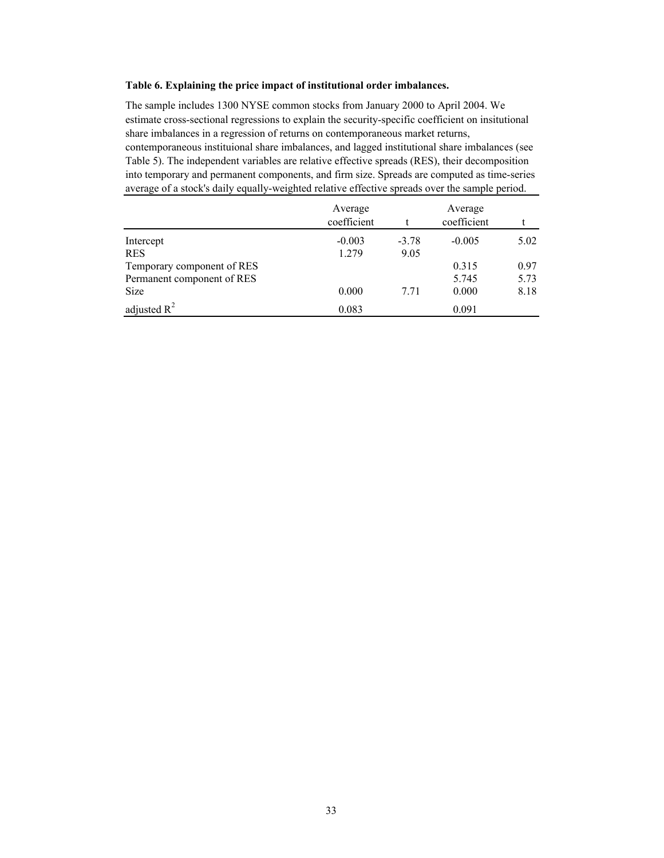#### **Table 6. Explaining the price impact of institutional order imbalances.**

The sample includes 1300 NYSE common stocks from January 2000 to April 2004. We estimate cross-sectional regressions to explain the security-specific coefficient on insitutional share imbalances in a regression of returns on contemporaneous market returns, contemporaneous instituional share imbalances, and lagged institutional share imbalances (see Table 5). The independent variables are relative effective spreads (RES), their decomposition into temporary and permanent components, and firm size. Spreads are computed as time-series average of a stock's daily equally-weighted relative effective spreads over the sample period.

|                            | Average     |         | Average     |      |
|----------------------------|-------------|---------|-------------|------|
|                            | coefficient |         | coefficient |      |
| Intercept                  | $-0.003$    | $-3.78$ | $-0.005$    | 5.02 |
| <b>RES</b>                 | 1.279       | 9.05    |             |      |
| Temporary component of RES |             |         | 0.315       | 0.97 |
| Permanent component of RES |             |         | 5.745       | 5.73 |
| <b>Size</b>                | 0.000       | 7.71    | 0.000       | 8.18 |
| adjusted $R^2$             | 0.083       |         | 0.091       |      |